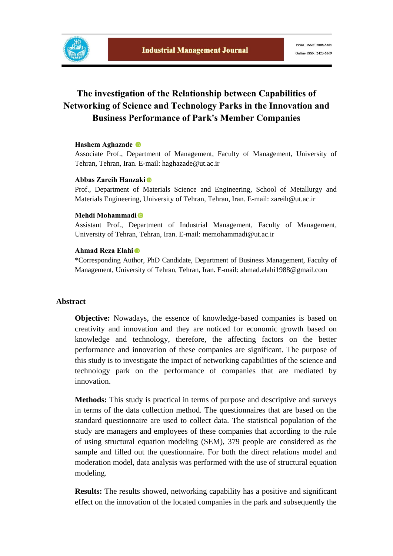

# **The investigation of the Relationship between Capabilities of Networking of Science and Technology Parks in the Innovation and Business Performance of Park's Member Companies**

#### **Hashem Aghazade**

Associate Prof., Department of Management, Faculty of Management, University of Tehran, Tehran, Iran. E-mail: haghazade@ut.ac.ir

#### **Abbas Zareih Hanzaki**

Prof., Department of Materials Science and Engineering, School of Metallurgy and Materials Engineering, University of Tehran, Tehran, Iran. E-mail: zareih@ut.ac.ir

#### **Mehdi Mohammadi**

Assistant Prof., Department of Industrial Management, Faculty of Management, University of Tehran, Tehran, Iran. E-mail: memohammadi@ut.ac.ir

#### **Ahmad Reza Elahi**

\*Corresponding Author, PhD Candidate, Department of Business Management, Faculty of Management, University of Tehran, Tehran, Iran. E-mail: ahmad.elahi1988@gmail.com

#### **Abstract**

**Objective:** Nowadays, the essence of knowledge-based companies is based on creativity and innovation and they are noticed for economic growth based on knowledge and technology, therefore, the affecting factors on the better performance and innovation of these companies are significant. The purpose of this study is to investigate the impact of networking capabilities of the science and technology park on the performance of companies that are mediated by innovation.

**Methods:** This study is practical in terms of purpose and descriptive and surveys in terms of the data collection method. The questionnaires that are based on the standard questionnaire are used to collect data. The statistical population of the study are managers and employees of these companies that according to the rule of using structural equation modeling (SEM), 379 people are considered as the sample and filled out the questionnaire. For both the direct relations model and moderation model, data analysis was performed with the use of structural equation modeling.

**Results:** The results showed, networking capability has a positive and significant effect on the innovation of the located companies in the park and subsequently the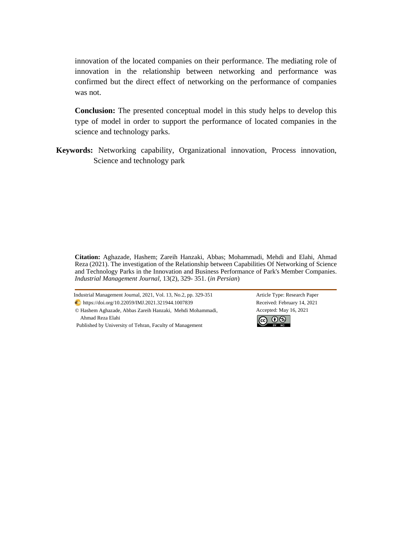innovation of the located companies on their performance. The mediating role of innovation in the relationship between networking and performance was confirmed but the direct effect of networking on the performance of companies was not.

**Conclusion:** The presented conceptual model in this study helps to develop this type of model in order to support the performance of located companies in the science and technology parks.

**Keywords:** Networking capability, Organizational innovation, Process innovation, Science and technology park

**Citation:** Aghazade, Hashem; Zareih Hanzaki, Abbas; Mohammadi, Mehdi and Elahi, Ahmad Reza (2021). The investigation of the Relationship between Capabilities Of Networking of Science and Technology Parks in the Innovation and Business Performance of Park's Member Companies. *Industrial Management Journal,* 13(2), 329- 351. (*in Persian*)

Industrial Management Journal, 2021, Vol. 13, No.2, pp. 329-351 Article Type: Research Paper https://doi.org/10.22059/IMJ.2021.321944.1007839 Received: February 14, 2021 © Hashem Aghazade, Abbas Zareih Hanzaki, Mehdi Mohammadi,

Ahmad Reza Elahi

Published by University of Tehran, Faculty of Management

Accepted: May 16, 2021

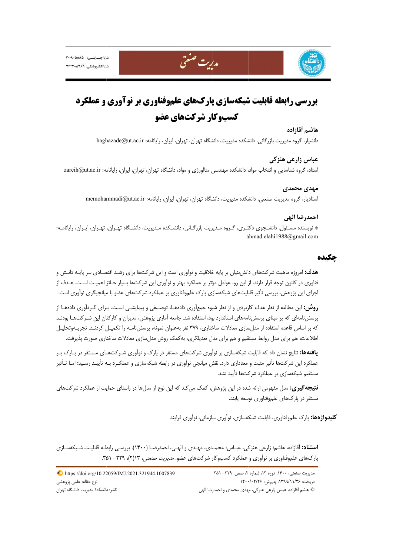





مدريت صنعتي

#### **هاشم آقازاده**

دانشيار، گروه مديريت بازرگاني، دانشكده مديريت، دانشگاه تهران، تهران، ايران، رايانامه: haghazade@ut.ac.ir

#### **هنزكي عباس زارعي ه**

ستاد، گروه شناسايي و انتخاب مواد، دانشكده مهندسي متالورژي و مواد، دانشگاه تهران، تهران، ايران، رايانامه: zareih@ut.ac.ir

#### **ي مهدي محمدي**

ستاديار، گروه مديريت صنعتي، دانشكده مديريت، دانشگاه تهران، تهران، ايران، رايانامه: memohammadi@ut.ac.ir

#### **احمدرضا الهي**

\* نويسنده مسـئول، دانشـجوي دكتـري، گـروه مـديريت بازرگـاني، دانشـكده مـديريت، دانشـگاه تهـران، تهـران، ايـران، رايانامـه: a ahmad.elahi198 88@gmail.com

## **ه چكيده**

ه**دف:** امروزه ماهيت شركتهاى دانش بنيان بر پايه خلاقيت و نوآورى است و اين شركتها براى رشـد اقتصـادى بـر پايـه دانـش و فناوری در کانون توجه قرار دارند، از این رو، عوامل مؤثر بر عملکرد بهتر و نوآوری این شرکتها بسیار حـائز اهمیـت اسـت. هـدف از 'جرای این پژوهش، بررسی تأثیر قابلیتهای شبکهسازی پارک علم٫وفناوری بر عملکرد شرکتهای عضو با میانجیگری نوآوری است.

**روش:** اين مطالعه از نظر هدف كاربردى و از نظر شيوه جمعأورى دادههـا، توصـيفى و پيمايشــى اسـت. بــراى گــردأورى دادههـا از پرسشنامهای که بر مبنای پرسشنامههای استاندارد بود، استفاده شد. جامعه آماری پژوهش، مدیران و کارکنان این شـرکتهـا بودنـد كه بر اساس قاعده استفاده از مدل $بازی معادلات ساختاری، ۳۷۹ نفر بهعنوان نمونه، پرسشنامـه را تكميـل كردنـد. تجزيـهوتحليـل$ 'طلاعات، هم براي مدل روابط مستقيم و هم براي مدل تعديلگري، به كمک روش مدلٍسازي معادلات ساختاري صورت پذيرفت.

**یافتهها:** نتایج نشان داد که قابلیت شبکهسازی بر نوآوری شرکتهای مستقر در پارک و نوآوری شـرکتهـای مسـتقر در پـارک بـر عملكرد اين شركتها تأثير مثبت و معنادارى دارد. نقش ميانجي نوأورى در رابطه شبكهسازى و عملكـرد بـه تأييـد رسـيد؛ امـا تـأثير مستقيم شبكهسازى بر عملكرد شركتها تأييد نشد.

**نتيجه گيري:** مدل مفهومي ارائه شده در اين پژوهش، كمک ميكند كه اين نوع از مدلها در راستاي حمايت از عملكرد شركتهاي مستقر در پارکھا*ی* علم<u>و</u>فناوری توسعه يابند.

**كليدواژهها:** پارک علم٫وفناوري، قابليت شبکهسازي، نوأوري سازماني، نوأوري فرايند

ا**ستناد:** اَقازاده، هاشم؛ زارعي هنزكي، عبـاس؛ محمـدي، مهـدي و الهـي، احمدرضـا (١۴٠٠). بررسـي رابطـه قابليـت شـبكهسـازي پارک&ای علموفناوری بر نوآوری و عملکرد کسبوکار شرکتهای عضو. *مدیریت صنعتی*، ۱۳(۲)، ۳۲۹– ۳۵۱.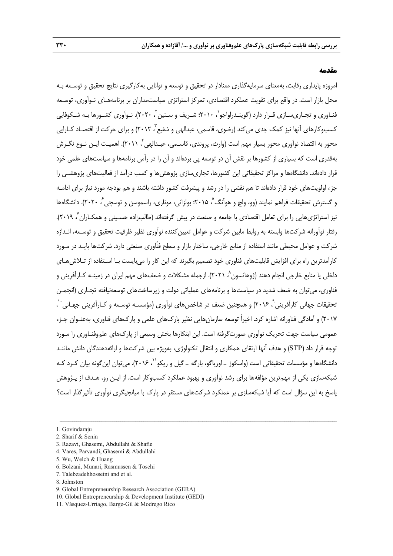### **مقدمه**

امروزه پايداري رقابت، بهمعناي سرمايهگذاري معنادار در تحقيق و توسعه و توانايي بهكارگيري نتايج تحقيق و توسـعه بـه محل بازار است. در واقع براي تقويت عملكرد اقتصادي، تمركز استراتژي سياستمداران بر برنامههـاي نـوآوري، توسـعه فنـاوری و تجـاریسـازی قـرار دارد (گوينـدراواجو`، ۲۰۱۰؛ شـريف و سـنين ً، ۲۰۲۰). نـوآوری كشـورها بـه شـكوفايي كسبوكارهاي آنها نيز كمك جدي مي كند (رضوي، قاسمي، عبدالهي و شفيع ً، ٢٠١٢) و براي حركت از اقتصـاد كـارايي محور به اقتصاد نوآوري محور بسيار مهم است (وارث، پروندي، قاسـمي، عبـدالهي ، 2011). اهميـت ايـن نـوع نگـرش <sup>4</sup> بهقدري است كه بسياري از كشورها بر نقش آن در توسعه پي بردهاند و آن را در رأس برنامهها و سياستهاي علمي خود قرار دادهاند. دانشگاهها و مراكز تحقيقاتي اين كشورها، تجاريسازي پژوهشها و كسب درآمد از فعاليتهاي پژوهشـي را جزء اولويتهاي خود قرار دادهاند تا هم نقشي را در رشد و پيشرفت كشور داشته باشند و هم بودجه مورد نياز براي ادامـه و گسترش تحقيقات فراهم نمايند (وو، ولچ و هوآنگ م ۲۰۱۵؛ بولزاني، موناري، راسموسن و توسچي گر ۲۰۲۰). دانشگاهها نيز استراتژي@ايي را براي تعامل اقتصادي با جامعه و صنعت در پيش گرفتهاند (طالبزاده حسـيني و همكـاران<sup>، ۲</sup>۰۱۹). رفتار نوآورانه شركتها وابسته به روابط مابين شركت و عوامل تعيينكننده نوآوري نظير ظرفيت تحقيق و توسـعه، انـدازه شركت و عوامل محيطي مانند استفاده از منابع خارجي، ساختار بازار و سطح فنّاوري صنعتي دارد. شركتها بايـد در مـورد كارآمدترين راه براي افزايش قابليتهاي فناوري خود تصميم بگيرند كه اين كار را ميبايست بـا اسـتفاده از تـلاشهـاي داخلی یا منابع خارجی انجام دهند (ژوهانسون^، ۲۰۲۱). ازجمله مشکلات و ضعف&ای مهم ایران در زمینـه کـارآفرینی و فناوري، ميتوان به ضعف شديد در سياستها و برنامههاي عملياتي دولت و زيرساختهاي توسعهنيافته تجـاري (انجمـن نحقيقات جهاني كارآفريني`، ۲۰۱۶) و همچنين ضعف در شاخصهاي نوآوري (مؤسسـه توسـعه و كـارآفريني جهـاني `` ، 2017) و آمادگي فناورانه اشاره كرد. اخيراً توسعه سازمانهايي نظير پاركهاي علمي و پاركهاي فناوري، بهعنـوان جـزء عمومي سياست جهت تحريك نوآوري صورتگرفته است. اين ابتكارها بخش وسيعي از پاركهاي علموفنـاوري را مـورد توجه قرار داد (STP (و هدف آنها ارتقاي همكاري و انتقال تكنولوژي، بهويژه بين شركتها و ارائهدهندگان دانش ماننـد دانشگاهها و مؤسسات تحقيقاتي است (واسكوز ــ اورياگو، بارگه ــ گيل و ريكو``، ۲۰۱۶). مي توان اين گونه بيان كـرد كـه شبكهسازي يكي از مهمترين مؤلفهها براي رشد نوآوري و بهبود عملكرد كسبوكار است. از ايـن رو، هـدف از پـژوهش پاسخ به اين سؤال است كه آيا شبكهسازي بر عملكرد شركتهاي مستقر در پارك با ميانجيگري نوآوري تأثيرگذار است؟

ــــــــــــــــــــــــــــــــــــــــــــــــــــــــــــــــــــــــــــــــــــــــــــــــــــــــــــــــــــــــــــــــــــ

3. Razavi, Ghasemi, Abdullahi & Shafie

8. Johnston

<sup>1.</sup> Govindaraju

<sup>2.</sup> Sharif & Senin

<sup>4.</sup> Vares, Parvandi, Ghasemi & Abdullahi

<sup>5.</sup> Wu, Welch & Huang

<sup>6.</sup> Bolzani, Munari, Rasmussen & Toschi

<sup>7.</sup> Talebzadehhosseini and et al.

<sup>9.</sup> Global Entrepreneurship Research Association (GERA)

<sup>10.</sup> Global Entrepreneurship & Development Institute (GEDI)

<sup>11.</sup> Vásquez-Urriago, Barge-Gil & Modrego Rico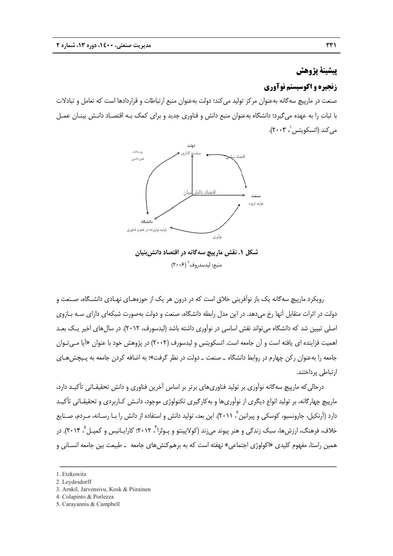## **پژوهش پيشينة**

### **نوآوري ه و اكوسيستم ن زنجيره**

صنعت در مارپيچ سهگانه بهعنوان مركز توليد مىكند؛ دولت بهعنوان منبع ارتباطات و قراردادها است كه تعامل و تبادلات با ثبات را به عهده ميگيرد؛ دانشگاه بهعنوان منبع دانش و فناورى جديد و براى كمک بـه اقتصـاد دانـش بينــان عمــل <sub>می</sub>كند (اتسكويتس '، ۲۰۰۳).



**يان قتصاد دانشبني يچ سهگانه در ا ل .1 نقش مارپي شكل** منبع: ليدسدروف<sup>٢</sup> (٢٠٠۶)

رویکرد مارپیچ سهگانه یک باز نواّفرینی خلاق است که در درون هر یک از حوزههـای نهـادی دانشـگاه، صـنعت و دولت در اثرات متقابل آنها رخ مىدهد. در اين مدل رابطه دانشگاه، صنعت و دولت بهصورت شبكهاى داراى سـه بــازوى 'صلی تبیین شد که دانشگاه میتواند نقش اساسی در نوآوری داشته باشد (لیدسورف، ۲۰۱۲). در سال۱های اخیر یـک بعـد 'هميت فزاينده اى يافته است و آن جامعه است. اتسكويتس و ليدسورف (٢٠٠٢) در پژوهش خود با عنوان «آيا مـىتـوان جامعه را بهعنوان ركن چهارم در روابط دانشگاه ــ صنعت ــ دولت در نظر گرفت»؛ به اضافه كردن جامعه به پـيچش@عاى پرداختند. ارتباطي

درحالی که مارپيچ سهگانه نوآوری بر توليد فناوریهای برتر بر اساس آخرين فناوری و دانش تحقيقـاتی تأکيـد دارد، مارپيچ چهارگانه، بر توليد انواع ديگرى از نوآورىها و بهكارگيرى تكنولوژى موجود، دانـش كـاربردى و تحقيقــاتى تأكيــد دارد (آرنکيل، جارونسيو، کوسکی و پيرانين <sup>۳</sup>، ۲۰۱۱). اين بعد، توليد دانش و استفاده از دانش را بـا رسـانه، مـردم، صـنايع خلاف، فرهنگ، ارزشها، سبک زندگی و هنر پیوند میزند (كولاپینتو و پـولزا<sup>۴</sup>، ۲۰۱۲؛ كارایـانیس و كمپـل<sup>۵</sup>، ۲۰۱۴). در همين راستا، مفهوم كليدى «اكولوژى اجتماعى» نهفته است كه به برهم كنش@اى جامعه \_ طبيعت بين جامعه انســانى و

ــــــــــــــــــ

ــــــــــــــــــ

ــــــــــــــــــ

ــــــــــــــــــ

ـــــــــ

ــــــ

3. Arnkil, Jarvensivu, Kosk & Piirainen

ــــــــــــــــــ

ــــــــــــــــــ

- 4. Col apinto & Porlez zza
- 5. Carayannis & Campbell

ــــــــــــــــــ

<sup>1.</sup> Etzk kowitz

<sup>2.</sup> Leydesdorff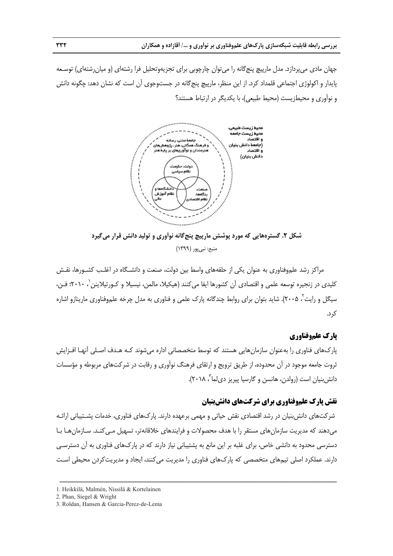جهان مادی میپردازد. مدل مارپیچ پنج گانه را میتوان چارچوبی برای تجزیهوتحلیل فرا رشتهای (و میانرشتهای) توسـعه پايدار و اكولوژى اجتماعى قلمداد كرد. از اين منظر، مارپيچ پنج گانه در جستوجوى آن است كه نشان دهد: چگونه دانش و نوآوري و محيطزيست (محيط طبيعي)، با يكديگر در ارتباط هستند؟



شکل ۲. گسترههایی که مورد پوشش مارپیچ پنجگانه نوآوری و تولید دانش قرار میگیرد منبع: نبي پور (١٣٩٩)

مراكز رشد علم,وفناورى به عنوان يكى از حلقههاى واسط بين دولت، صنعت و دانشـگاه در اغلـب كشـورها، نقـش كليدي در زنجيره توسعه علمي و اقتصادي آن كشورها ايفا ميكنند (هيكيلا، مالمن، نيسيلا و كـورتيلاينن ٰ، ٢٠١٠؛ فـن، سیگل و رایت<sup>۲</sup>، ۲۰۰۵). شاید بتوان برای روابط چندگانه پارک علمی و فناوری به مدل چرخه علموفناوری مارینازو اشاره كرد.

### **علموفناوري پارك ع**

پارک&ای فناوری را بهعنوان سازمانهایی هستند که توسط متخصصانی اداره میشوند کـه هـدف اصـلی أنهـا افــزایش ثروت جامعه موجود در أن محدوده، از طريق ترويج و ارتقاى فرهنگ نوأورى و رقابت در شركتهاى مربوطه و مؤسسات دانش بنيان است (رولدن، هانسن و گارسيا پيريز دىلما<sup>",</sup> ٢٠١٨).

### **نقش پارک علموفناوری برای شرکتهای دانش بنیان**

ــــــــــــــــــ

ــــــــــــــــــ

ـــــــــ

شرکتهای دانش بنیان در رشد اقتصادی نقش حیاتی و مهمی برعهده دارند. پارکهای فناوری، خدمات پشــتیبانی ارائـه میدهند که مدیریت سازمانهای مستقر را با هدف محصولات و فرایندهای خلاقانهتر، تسهیل مـیکنـد. سـازمانهـا بـا دسترسی محدود به دانشی خاص، برای غلبه بر این مانع به پشتیبانی نیاز دارند که در پارکهای فناوری به آن دسترسـی دارند. عملكرد اصلى تيمهاى متخصصى كه پارك $\epsilon$ اى فناورى را مديريت مىكنند، ايجاد و مديريتكردن محيطى است

ــــــــــــــــــ

ــــــــــــــــــ

ــــــــــــــــــ

ــــــــــــــــــ

ــــــــــــــــــ

ــــــ

<sup>1.</sup> Heikkilä, Malmén, Nissilä & Kortelainen

<sup>2.</sup> Phan, Siegel & Wright

<sup>3.</sup> Roldan, Hansen & Garcia-Perez-de-Lema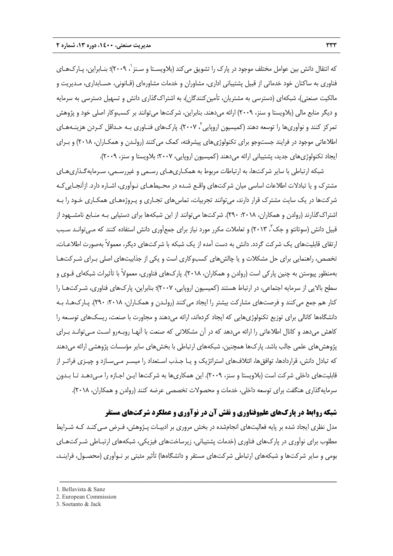كه انتقال دانش بين عوامل مختلف موجود در پارک را تشويق مىكند (بلاويسـتا و سـنز ٰ، ٢٠٠٩)؛ بنـابراين، پـارکـهـاى فناوري به ساكنان خود خدماتي از قبيل پشتيباني اداري، مشاوران و خدمات مشاورهاي (قـانوني، حسـابداري، مـديريت و مالكيت صنعتي)، شبكهاي (دسترسي به مشتريان، تأمين كنندگان)، به اشتراكگذاري دانش و تسهيل دسترسي به سرمايه و ديگر منابع مالي (بلاويستا و سنز، 2009) ارائه ميدهند. بنابراين، شركتها ميتوانند بر كسبوكار اصلي خود و پژوهش نمركز كنند و نوآورىها را توسعه دهند (كميسيون اروپايي<sup>۲</sup>، ۲۰۰۷). پارکهاى فنـاورى بـه حـداقل كـردن هزينـههـاى اطلاعاتي موجود در فرايند جستوجو براي تكنولوژيهاي پيشرفته، كمك ميكنند (رولـدن و همكـاران، 2018) و بـراي ايجاد تكنولوژيهاي جديد، پشتيباني ارائه ميدهند (كميسيون اروپايي، 2007؛ بلاويستا و سنز، 2009).

شبكه ارتباطي با ساير شركتها، به ارتباطات مربوط به همكـاريهـاي رسـمي و غيررسـمي، سـرمايهگـذاريهـاي مشترك و يا تبادلات اطلاعات اساسي ميان شركتهاي واقـع شـده در محـيطهـاي نـوآوري، اشـاره دارد. ازآنجـاييكـه شركتها در يك سايت مشترك قرار دارند، ميتوانند تجربيات، تماسهاي تجـاري و پـروژههـاي همكـاري خـود را بـه اشتراك گذارند (رولدن و همكاران، ٢٠١٨: ٢٩٠). شركتها مي توانند از اين شبكهها براي دستيابي بـه منـابع نامشـهود از قبیل دانش (سوتانتو و جک"، ۲۰۱۳) و تعاملات مکرر مورد نیاز برای جمعآوری دانش استفاده کنند که مـیتوانـد سـبب ارتقاي قابليتهاي يك شركت گردد. دانش به دست آمده از يك شبكه با شركتهاي ديگر، معمولاً بهصورت اطلاعـات، تخصص، راهنمايي براي حل مشكلات و يا چالشهاي كسبوكاري است و يكي از جذابيتهاي اصلي بـراي شـركتهـا بهمنظور پيوستن به چنين پاركي است (رولدن و همكاران، 2018). پاركهاي فناوري، معمولاً با تأثيرات شبكهاي قـوي و سطح بالايي از سرمايه اجتماعي، در ارتباط هستند (كميسيون اروپايي، 2007)؛ بنابراين، پاركهاي فناوري، شـركتهـا را كنار هم جمع مي كنند و فرصتهاي مشاركت بيشتر را ايجاد مي كنند (رولـدن و همكـاران، ٢٠١٨، ٢٩٠). پـارك&ـا، بـه دانشگاهها كانالي براي توزيع تكنولوژيهايي كه ايجاد كردهاند، ارائه ميدهند و مجاورت با صنعت، ريسكهاي توسـعه را كاهش ميدهد و كانال اطلاعاتي را ارائه ميدهد كه در آن مشكلاتي كه صنعت با آنهـا روبـهرو اسـت مـيتوانـد بـراي پژوهشهاي علمي جالب باشد. پاركها همچنين، شبكههاي ارتباطي با بخشهاي ساير مؤسسات پژوهشي ارائه ميدهند كه تبادل دانش، قراردادها، توافقها، ائتلافهاي استراتژيك و يـا جـذب اسـتعداد را ميسـر مـيسـازد و چيـزي فراتـر از قابليتهاي داخلي شركت است (بلاويستا و سنز، 2009). اين همكاريها به شركتها ايـن اجـازه را مـيدهـد تـا بـدون سرمايهگذاري هنگفت براي توسعه داخلي، خدمات و محصولات تخصصي عرضه كنند (رولدن و همكاران، 2018).

## **شبكه روابط در پاركهاي علموفناوري و نقش آن در نوآوري و عملكرد شركتهاي مستقر**

مدل نظري ايجاد شده بر پايه فعاليتهاي انجامشده در بخش مروري بر ادبيـات پـژوهش، فـرض مـيكنـد كـه شـرايط مطلوب براي نوآوري در پاركهاي فناوري (خدمات پشتيباني، زيرساختهاي فيزيكي، شبكههاي ارتبـاطي شـركتهـاي بومي و ساير شركتها و شبكههاي ارتباطي شركتهاي مستقر و دانشگاهها) تأثير مثبتي بر نـوآوري (محصـول، فراينـد،

<sup>1.</sup> Bellavista & Sanz

<sup>2.</sup> European Commission

<sup>3.</sup> Soetanto & Jack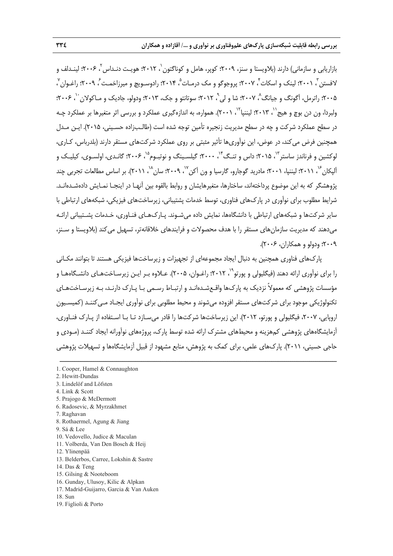بازاريابى و سازمانى) دارند (بلاويستا و سنز، ٢٠٠٩؛ كوپر، هامل و كوناگتون `، ٢٠١٢؛ هويـت دنـداس `، ٢٠٠۶؛ لينـدلف و لافستن <sup>۳</sup>، ۲۰۰۱؛ لینک و اسکات ٔ ۲۰۰۷؛ پروجوگو و مک درمـات ْ، ۲۰۱۴؛ رادوسـویچ و میرزاخمـت ٔ، ۲۰۰۹؛ راغـوان ٔ ، ۲۰۰۵؛ راترمل، آگونگ و جيانگ ۳۰۰۷؛ شا و لي ۱ ، ۲۰۱۲؛ سوتانتو و جک، ۲۰۱۳؛ ودولو، جاديک و مـاکولان آ ولبردا، ون دن بوچ و هيج``، ۲۰۱۳؛ ليننپا``، ۲۰۰۱). همواره، به اندازهگيري عملكرد و بررسي اثر متغيرها بر عملكرد چـه در سطح عملكرد شركت و چه در سطح مديريت زنجيره تأمين توجه شده است (طالـبزاده حسـيني، 2015). ايـن مـدل همچنين فرض ميكند، در عوض، اين نوآوريها تأثير مثبتي بر روي عملكرد شركتهاي مستقر دارند (بلدرباس، كـاري، لوکشين و فرناندز ساستر<sup>۱۳</sup>، ۲۰۱۵؛ داس و تنـگ<sup>۱۴</sup>، ۲۰۰۰؛ گيلسـينگ و نوتبـوم<sup>۱۵</sup>، ۲۰۰۶؛ گانـدی، اولسـوی، کيليـک و اَلپكان ً``، ٢٠١١؛ ليننپا، ٢٠٠١؛ مادريد گوجارو، گارسيا و ون آكن `` ٢٠٠٩؛ سان ``، ٢٠١١). بر اساس مطالعات تجربي چند پژوهشگر كه به اين موضوع پرداختهاند، ساختارها، متغيرهايشان و روابط بالقوه بين آنهـا در اينجـا نمـايش دادهشـدهانـد. شرايط مطلوب براي نوآوري در پاركهاي فناوري، توسط خدمات پشتيباني، زيرساختهاي فيزيكي، شبكههاي ارتباطي با ساير شركتها و شبكههاي ارتباطي با دانشگاهها، نمايش داده ميشـوند. پـاركهـاي فنـاوري، خـدمات پشـتيباني ارائـه ميدهند كه مديريت سازمانهاي مستقر را با هدف محصولات و فرايندهاي خلاقانهتر، تسهيل ميكند (بلاويستا و سـنز، 2009؛ ودولو و همكاران، 2006).

پاركهاي فناوري همچنين به دنبال ايجاد مجموعهاي از تجهيزات و زيرساختها فيزيكي هستند تا بتوانند مكـاني را برای نوآوری ارائه دهند (فیگلیولی و پورتو<sup>۹٬</sup>، ۲۰۱۲؛ راغـوان، ۲۰۰۵). عــلاوه بـر ایـن زیرسـاختهـای دانشـگاههـا و مؤسسات پژوهشي كه معمولاً نزديك به پاركها واقـعشـدهانـد و ارتبـاط رسـمي بـا پـارك دارنـد، بـه زيرسـاختهـاي تكنولوژيكي موجود براي شركتهاي مستقر افزوده ميشوند و محيط مطلوبي براي نوآوري ايجـاد مـيكننـد (كميسـيون اروپايي، ،2007 فيگليولي و پورتو، 2012). اين زيرساختها شركتها را قادر ميسـازد تـا بـا اسـتفاده از پـارك فنـاوري، آزمايشگاههاي پژوهشي كمهزينه و محيطهاي مشترك ارائه شده توسط پارك، پروژههاي نوآورانه ايجاد كننـد (مـودي و حاجي حسيني، 2011). پاركهاي علمي، براي كمك به پژوهش، منابع مشهود از قبيل آزمايشگاهها و تسهيلات پژوهشي

- 12. Ylinenpää
- 13. Belderbos, Carree, Lokshin & Sastre
- 14. Das & Teng
- 15. Gilsing & Nooteboom
- 16. Gunday, Ulusoy, Kilic & Alpkan
- 17. Madrid-Guijarro, Garcia & Van Auken
- 18. Sun
- 19. Figlioli & Porto

<sup>1.</sup> Cooper, Hamel & Connaughton

<sup>2.</sup> Hewitt-Dundas

<sup>3.</sup> Lindelöf and Löfsten

<sup>4.</sup> Link & Scott

<sup>5.</sup> Prajogo & McDermott

<sup>6.</sup> Radosevic, & Myrzakhmet

<sup>7.</sup> Raghavan

<sup>8.</sup> Rothaermel, Agung & Jiang

<sup>9.</sup> Sá & Lee

<sup>10.</sup> Vedovello, Judice & Maculan

<sup>11.</sup> Volberda, Van Den Bosch & Heij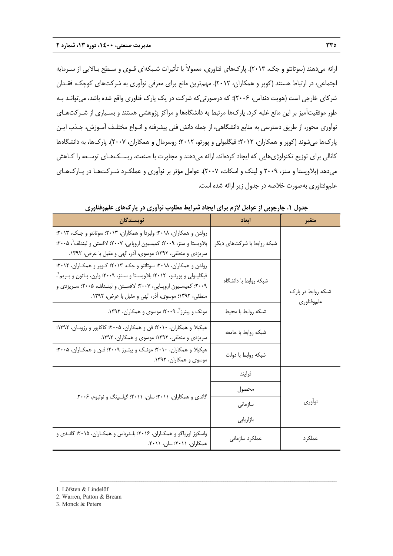ارائه ميدهند (سوتانتو و جك، 2013). پاركهاي فناوري، معمولاً با تأثيرات شـبكهاي قـوي و سـطح بـالايي از سـرمايه اجتماعي، در ارتباط هستند (كوپر و همكاران، 2012). مهمترين مانع براي معرفي نوآوري به شركتهاي كوچك، فقـدان شركاي خارجي است (هويت دنداس، ۲۰۰۶)؛ كه درصورتي كه شركت در يک پارک فناوري واقع شده باشد، مي توانـد بـه طور موفقيتآميز بر اين مانع غلبه كرد. پاركها مرتبط به دانشگاهها و مراكز پژوهشي هستند و بسـياري از شـركتهـاي نوآوري محور، از طريق دسترسي به منابع دانشگاهي، از جمله دانش فني پيشرفته و انـواع مختلـف آمـوزش، جـذب ايـن پاركها ميشوند (كوپر و همكاران، 2012؛ فيگليولي و پورتو، 2012؛ روسرمال و همكاران، 2007). پاركها، به دانشگاهها كانالي براي توزيع تكنولوژيهايي كه ايجاد كردهاند، ارائه ميدهند و مجاورت با صنعت، ريسـكهـاي توسـعه را كـاهش ميدهد (بلاويستا و سنز، 2009 و لينك و اسكات، 2007). عوامل مؤثر بر نوآوري و عملكـرد شـركتهـا در پـاركهـاي علموفناوري بهصورت خلاصه در جدول زير ارائه شده است.

| نويسندگان                                                                                                                                                                                                                                                                      | أبعاد                      | متغير                            |
|--------------------------------------------------------------------------------------------------------------------------------------------------------------------------------------------------------------------------------------------------------------------------------|----------------------------|----------------------------------|
| رولدن و همکاران، ۲۰۱۸؛ ولبردا و همکاران، ۲۰۱۳؛ سوتانتو و جـک، ۲۰۱۳؛<br>بلاویستا و سنز، ۲۰۰۹؛ کمیسیون اروپایی، ۲۰۰۷؛ لافستن و لیندلف'، ۲۰۰۵؛<br>سریزدی و منطقی، ۱۳۹۲؛ موسوی، آذر، الهی و مقبل با عرض، ۱۳۹۲.                                                                     | شبکه روابط با شرکتهای دیگر |                                  |
| رولدن و همکاران، ۲۰۱۸؛ سوتانتو و جک، ۲۰۱۳؛ کـوپر و همکـاران، ۲۰۱۲؛<br>فیگلیـولی و پورتـو، ۲۰۱۲؛ بلاویسـتا و سـنز، ۲۰۰۹؛ وارن، پـاتون و بـریم ً،<br>۲۰۰۹؛ کمیسـیون اروپــایی، ۲۰۰۷؛ لافســتن و لینــدلف، ۲۰۰۵؛ ســریزدی و<br>منطقی، ۱۳۹۲؛ موسوی، آذر، الهی و مقبل با عرض، ۱۳۹۲. | شبكه روابط با دانشگاه      | شبکه روابط در پارک<br>علموفناوري |
| مونک و پیترز <sup>۲</sup> ، ۲۰۰۹؛ موسوی و همکاران، ۱۳۹۲.                                                                                                                                                                                                                       | شبكه روابط با محيط         |                                  |
| هیکیلا و همکاران، ۲۰۱۰؛ فن و همکاران، ۲۰۰۵؛ کاکاپور و رزوبـان، ۱۳۹۲؛<br>سریزدی و منطقی، ۱۳۹۲؛ موسوی و همکاران، ۱۳۹۲.                                                                                                                                                           | شبكه روابط با جامعه        |                                  |
| هیکیلا و همکاران، ۲۰۱۰؛ مونک و پیتـرز ۲۰۰۹؛ فـن و همکـاران، ۲۰۰۵؛<br>موسوی و همکاران، ۱۳۹۲.                                                                                                                                                                                    | شبكه روابط با دولت         |                                  |
|                                                                                                                                                                                                                                                                                | فرايند                     |                                  |
| گاندی و همکاران، ۲۰۱۱؛ سان، ۲۰۱۱؛ گیلسینگ و نوتبوم، ۲۰۰۶.                                                                                                                                                                                                                      | محصول                      |                                  |
|                                                                                                                                                                                                                                                                                | سازمانى                    | نوأورى                           |
|                                                                                                                                                                                                                                                                                | بازاريابي                  |                                  |
| واسکوز اوریاگو و همکـاران، ۲۰۱۶؛ بلـدرباس و همکـاران، ۲۰۱۵؛ گانـدی و<br>همكاران، ٢٠١١؛ سان، ٢٠١١.                                                                                                                                                                              | عملكرد سازمانى             | عملکر د                          |

**جدول .1 چارچوبي از عوامل لازم براي ايجاد شرايط مطلوب نوآوري در پاركهاي علموفناوري** 

- 1. Löfsten & Lindelöf
- 2. Warren, Patton & Bream
- 3. Monck & Peters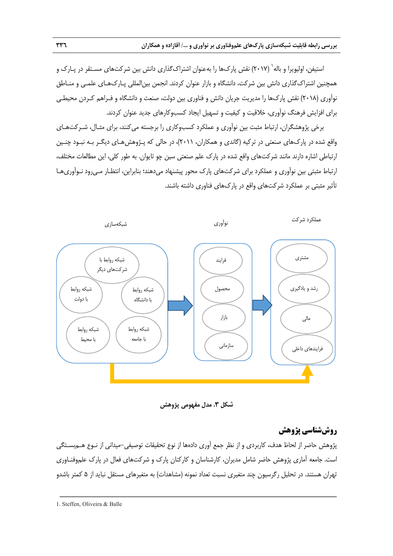َستيفن، اوليويرا و باله` (٢٠١٧) نقش پارکھا را بهعنوان اشتراکگذاری دانش بين شرکتهای مسـتقر در پـارک و همچنين اشتراكگذاري دانش بين شركت، دانشگاه و بازار عنوان كردند. انجمن بينالمللي پـاركهـاي علمـي و منـاطق نوآوري (2018) نقش پاركها را مديريت جريان دانش و فناوري بين دولت، صنعت و دانشگاه و فـراهم كـردن محيطـي براي افزايش فرهنگ نوآوري، خلاقيت و كيفيت و تسهيل ايجاد كسبوكارهاي جديد عنوان كردند.

برخي پژوهشگران، ارتباط مثبت بين نوآوري و عملكرد كسبوكاري را برجسته ميكنند، براي مثـال، شـركتهـاي واقع شده در پاركهاي صنعتي در تركيه (گاندي و همكاران، 2011)، در حالي كه پـژوهشهـاي ديگـر بـه نبـود چنـين ارتباطي اشاره دارند مانند شركتهاي واقع شده در پارك علم صنعتي سين چو تايوان. به طور كلي، اين مطالعات مختلف، ارتباط مثبتي بين نوآوري و عملكرد براي شركتهاي پارك محور پيشنهاد ميدهند؛ بنابراين، انتظـار مـيرود نـوآوريهـا تأثير مثبتي بر عملكرد شركتهاي واقع در پاركهاي فناوري داشته باشند.



**شكل .3 مدل مفهومي پژوهش** 

# **روششناسي پژوهش**

پژوهش حاضر از لحاظ هدف، كاربردي و از نظر جمع آوري دادهها از نوع تحقيقات توصيفي-ميداني از نـوع هـمبسـتگي است. جامعه آماري پژوهش حاضر شامل مديران، كارشناسان و كاركنان پارك و شركتهاي فعال در پارك علموفنـاوري تهران هستند. در تحليل رگرسيون چند متغيري نسبت تعداد نمونه (مشاهدات) به متغيرهاي مستقل نبايد از 5 كمتر باشدو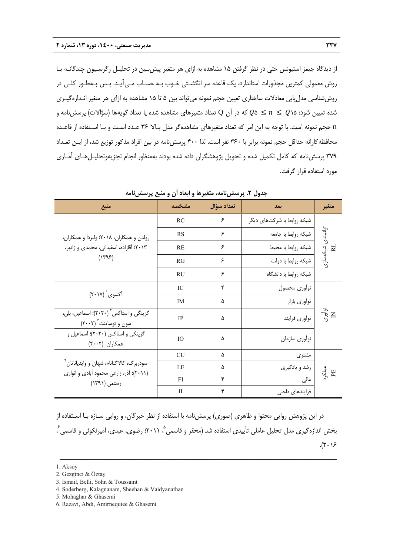از ديدگاه جيمز استيونس حتي در نظر گرفتن 15 مشاهده به ازاي هر متغير پيشبـين در تحليـل رگرسـيون چندگانـه بـا روش معمولي كمترين مجذورات استاندارد، يك قاعده سر انگشـتي خـوب بـه حسـاب مـيآيـد. پـس بـهطـور كلـي در روششناسي مدليابي معادلات ساختاري تعيين حجم نمونه ميتواند بين 5 تا 15 مشاهده به ازاي هر متغير انـدازهگيـري شده تعيين شود:  $Q$ 16  $n\leq 2$  كه در آن Q تعداد متغيرهاي مشاهده شده يا تعداد گويهها (سؤالات) پرسشiامه و n حجم نمونه است. با توجه به اين امر كه تعداد متغيرهاي مشاهدهگر مدل بـالا 36 عـدد اسـت و بـا اسـتفاده از قاعـده محافظهكارانه حداقل حجم نمونه برابر با 360 نفر است. لذا 400 پرسشنامه در بين افراد مذكور توزيع شد، از ايـن تعـداد ٣٧٩ پرسش نامه كه كامل تكميل شده و تحويل پژوهشگران داده شده بودند بهمنظور انجام تجزيهوتحليـل هـاي آمـاري مورد استفاده قرار گرفت.

| منبع                                                                                 | مشخصه        | تعداد سؤال | بعد                        | متغير                   |
|--------------------------------------------------------------------------------------|--------------|------------|----------------------------|-------------------------|
|                                                                                      | RC           | ۶          | شبکه روابط با شرکتهای دیگر |                         |
| رولدن و همكاران، ٢٠١٨؛ ولبردا و همكاران،                                             | <b>RS</b>    | ۶          | شبكه روابط با جامعه        |                         |
| ٢٠١٣؛ أقازاده، اسفيداني، محمدي و زادبر،                                              | <b>RE</b>    | ۶          | شبكه روابط با محيط         |                         |
| $(Y^qF)$                                                                             | RG           | ۶          | شبكه روابط با دولت         | توانمندی شبکهسازی<br>RL |
|                                                                                      | RU           | ۶          | شبكه روابط با دانشگاه      |                         |
|                                                                                      | IC           | ۴          | نوأورى محصول               |                         |
| آکسوی` (۲۰۱۷)                                                                        | <b>IM</b>    | ۵          | نوأوري بازار               |                         |
| گزینگی و استاکس <sup>۲</sup> (۲۰۲۰)؛ اسماعیل، بلی،<br>سون و توساینت ۲۰۰۲)            | <b>IP</b>    | ۵          | نوأوري فرايند              | نوآوری<br>IX            |
| گزینکی و استاکس (۲۰۲۰)؛ اسماعیل و<br>همكاران (٢٠٠٢)                                  | IO           | ۵          | نوأوري سازمان              |                         |
|                                                                                      | <b>CU</b>    | ۵          | مشترى                      |                         |
| سودربرگ، کالاگنانام، شهان و وايدياناتان ٔ<br>(٢٠١١)؛ آذر، زارعي محمود آبادي و انواري | LE           | ۵          | رشد و يادگيري              | عملکرد<br>EE            |
| رستمی (۱۳۹۱)                                                                         | FI           | ۴          | مالی                       |                         |
|                                                                                      | $\mathbf{I}$ | ۴          | فرایندهای داخلی            |                         |

**جدول .2 پرسشنامه، متغيرها و ابعاد آن و منبع پرسشنامه** 

در اين پژوهش روايي محتوا و ظاهري (صوري) پرسشنامه با استفاده از نظر خبرگان، و روايي سـازه بـا اسـتفاده از  $\frac{s}{c}$  ، 2011) بخش اندازهگيرى مدل تحليل عاملي تأييدى استفاده شد (محقر و قاسمي $^{\circ}$  ، ۲۰۱۱)؛ رضوى، عبدى، اميرنكوئي و قاسمي ،  $(7.19)$ 

ــــــــــــــــــــــــــــــــــــــــــــــــــــــــــــــــــــــــــــــــــــــــــــــــــــــــــــــــــــــــــــــــــــ

4. Soderberg, Kalagnanam, Sheehan & Vaidyanathan

<sup>1.</sup> Aksoy

<sup>2.</sup> Gezginci & Öztaş

<sup>3.</sup> Ismail, Belli, Sohn & Toussaint

<sup>5.</sup> Mohaghar & Ghasemi

<sup>6.</sup> Razavi, Abdi, Amirnequiee & Ghasemi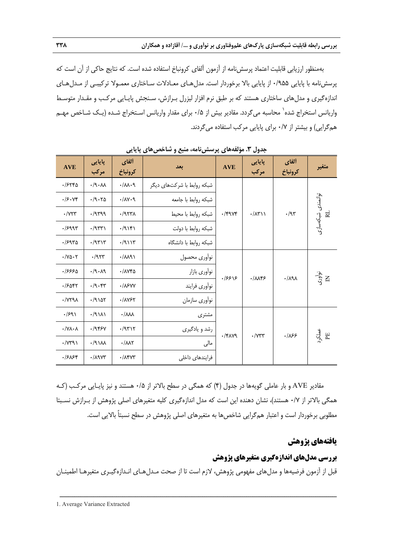بهمنظور ارزيابي قابليت اعتماد پرسشنامه از آزمون آلفاي كرونباخ استفاده شده است. كه نتايج حاكي از آن است كه پرسشنامه با پايايي 0/955 از پايايي بالا برخوردار است. مدلهـاي معـادلات سـاختاري معمـولا تركيبـي از مـدلهـاي اندازهگيري و مدلهاي ساختاري هستند كه بر طبق نرم افزار ليزرل بـرازش، سـنجش پايـايي مركـب و مقـدار متوسـط واریانس استخراج شده<sup>٬</sup> محاسبه میگردد. مقادیر بیش از ۰/۵ برای مقدار واریانس اسـتخراج شـده (یـک شـاخص مهـم همگرايي) و بيشتر از 0/7 براي پايايي مركب استفاده ميگردند.

| <b>AVE</b>                         | پایایی<br>مركب                             | ألفاي<br>كرونباخ               | يعد                        | <b>AVE</b>    | پایایی<br>مركب             | ألفاي<br>كرونباخ            | متغير        |                         |
|------------------------------------|--------------------------------------------|--------------------------------|----------------------------|---------------|----------------------------|-----------------------------|--------------|-------------------------|
| .7558                              | $\cdot$ /9 $\cdot$ ۸۸                      | .11.1                          | شبکه روابط با شرکتهای دیگر |               |                            |                             |              |                         |
| .79.74                             | .79.70                                     | .111                           | شبكه روابط با جامعه        |               |                            |                             |              |                         |
| $\cdot$ / $\vee\curlyvee\curlyvee$ | .4                                         | .7977                          | شبكه روابط با محيط         | $\cdot$ /۴۹۷۴ | $\cdot/\lambda$ ۳۱۱        | .79                         |              |                         |
| .1999                              | $\cdot$ /955)                              | $\cdot$ /9 $\setminus$ ۴۱      | شبكه روابط با دولت         |               |                            |                             |              | توانمندی شبکهسازی<br>RL |
| .7980                              | $\cdot$ /9515                              | .79117                         | شبكه روابط با دانشگاه      |               |                            |                             |              |                         |
| $\cdot$ /YQ $\cdot$ ۲              | $\cdot$ /953                               | .711                           | نوأوري محصول               |               |                            |                             |              |                         |
| ۹۶۶۶۰.                             | .4.19                                      | ·/1740                         | نوأوري بازار               | .18818        |                            | $\cdot/\lambda$ ۹ $\lambda$ | نوآورۍ<br>E  |                         |
| ۰/۶۵۴۲                             | $\cdot$ /9 $\cdot$ $\cdot$ $\cdot$ $\cdot$ | $\cdot$ / $\lambda$ ۶۷۷        | نوأوري فرايند              |               | .1005                      |                             |              |                         |
| $\cdot$ / $\gamma$ ۲۹ $\lambda$    | .79107                                     | ·/1757                         | نوأوري سازمان              |               |                            |                             |              |                         |
| $\cdot$ /۶۹۱                       | .79111                                     | $\cdot/\lambda\lambda\lambda$  | مشترى                      |               |                            |                             |              |                         |
| $\cdot / Y \Lambda \cdot \Lambda$  | .7959                                      | .79717                         | رشد و يادگيري              |               |                            |                             |              |                         |
| $\cdot$ / $\gamma$ ۳۹ $\gamma$     | $\cdot$ /9 $\lambda$                       | $\cdot/\lambda\lambda\Upsilon$ | مالی                       | $\cdot$ /۴۸۷۹ | $\cdot$ / $\vee \vee \vee$ | .185                        | عملکرہ<br>EE |                         |
| .7588                              | $\cdot$ / $\wedge$ 9 $\vee$ ۳              | $\cdot$ / $\Lambda$ ۴۷۳        | فرایندهای داخلی            |               |                            |                             |              |                         |

**جدول .3 مؤلفههاي پرسشنامه، منبع و شاخصهاي پايايي** 

مقادير AVE و بار عاملي گويهها در جدول (4) كه همگي در سطح بالاتر از 0/5 هستند و نيز پايـايي مركـب (كـه همگي بالاتر از 0/7 هستند)، نشان دهنده اين است كه مدل اندازهگيري كليه متغيرهاي اصلي پژوهش از بـرازش نسـبتا مطلوبي برخوردار است و اعتبار همگرايي شاخصها به متغيرهاي اصلي پژوهش در سطح نسبتاً بالايي است.

# **يافتههاي پژوهش**

# **بررسي مدلهاي اندازهگيري متغيرهاي پژوهش**

قبل از آزمون فرضيهها و مدلهاي مفهومي پژوهش، لازم است تا از صحت مـدلهـاي انـدازهگيـري متغيرهـا اطمينـان

ــــــــــــــــــــــــــــــــــــــــــــــــــــــــــــــــــــــــــــــــــــــــــــــــــــــــــــــــــــــــــــــــــــ

1. Average Variance Extracted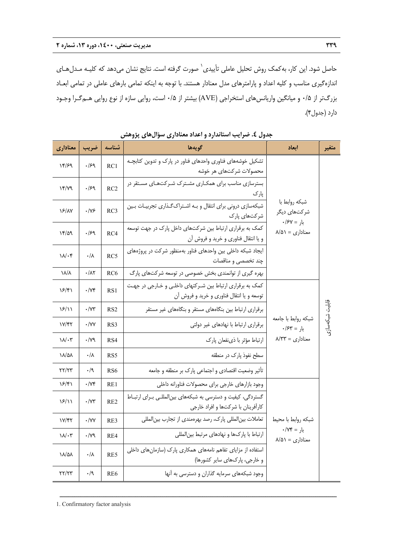حاصل شود. اين كار، به كمك روش تحليل عاملي تأييدي<sup>\</sup> صورت گرفته است. نتايج نشان ميدهد كه كليـه مـدل *ه*ـاي اندازهگيري مناسب و كليه اعداد و پارامترهاي مدل معنادار هستند. با توجه به اينكه تمامي بارهاي عاملي در تمامي ابعـاد بزرگتر از 0/5 و ميانگين واريانسهاي استخراجي (AVE (بيشتر از 0/5 است، روايي سازه از نوع روايي هـمگـرا وجـود دارد (جدول4).

| معناداري                        | ضريب                       | شناسه           | گويەھا                                                                                                  | اىعاد                                                                    | متغير           |
|---------------------------------|----------------------------|-----------------|---------------------------------------------------------------------------------------------------------|--------------------------------------------------------------------------|-----------------|
| ۱۴/۶۹                           | .159                       | RC1             | تشکیل خوشههای فناوری واحدهای فناور در پارک و تدوین کتابچـه<br>محصولات شركتهاى هر خوشه                   |                                                                          |                 |
| ۱۴/۷۹                           | .159                       | RC2             | بسترسازی مناسب برای همکاری مشترک شرکتهای مستقر در<br>پارک                                               |                                                                          |                 |
| <b>18/1V</b>                    | $\cdot$ /Y۶                | RC3             | شبکهسازی درونی برای انتقال و به اشتراک گذاری تجربیات بین<br>شرکتهای پارک                                | شبكه روابط با<br>شر کتهای دیگر<br>$\cdot$ بار = ۶۷/۰                     |                 |
| 17/29                           | .159                       | RC4             | کمک به برقراری ارتباط بین شرکتهای داخل پارک در جهت توسعه<br>و يا انتقال فناوري و خريد و فروش ان         | $\Lambda/\Delta$ معناداری = ۸/۵۱                                         |                 |
| $\mathcal{N} \cdot \mathcal{F}$ | ۰/۸                        | RC5             | ایجاد شبکه داخلی بین واحدهای فناور بهمنظور شرکت در پروژههای<br>چند تخصصی و مناقصات                      |                                                                          |                 |
| ۱۸/۸                            | $\cdot/\lambda\Upsilon$    | RC <sub>6</sub> | بهره گیری از توانمندی بخش خصوصی در توسعه شرکتهای پارگ                                                   |                                                                          |                 |
| ۱۶/۴۱                           | $\cdot$ / $\vee$ ۴         | RS1             | کمک به برقراری ارتباط بین شـرکتهای داخلـی و خـارجی در جهـت<br>توسعه و يا انتقال فناوري و خريد و فروش آن |                                                                          |                 |
| 18/11                           | $\cdot$ / $\vee\mathbf{r}$ | RS2             | برقراری ارتباط بین بنگاههای مستقر و بنگاههای غیر مستقر                                                  |                                                                          |                 |
| $V/\gamma\gamma$                | $\cdot$ /YY                | RS3             | برقراری ارتباط با نهادهای غیر دولتی                                                                     | شبكه روابط با جامعه<br>$\cdot$ بار = ۶۳                                  | قابليت شبكەسازى |
| $\mathcal{N} \cdot \mathcal{r}$ | $\cdot$ / $\gamma$ ۹       | RS4             | ارتباط مؤثر با ذىنفعان يارك                                                                             | $\lambda$ معناداری = ۸/۳۳                                                |                 |
| ۱۸/۵۸                           | ۰/۸                        | RS5             | سطح نفوذ پارک در منطقه                                                                                  |                                                                          |                 |
| 77/77                           | $\cdot$ /9                 | R <sub>S6</sub> | تأثیر وضعیت اقتصادی و اجتماعی پارک بر منطقه و جامعه                                                     |                                                                          |                 |
| ۱۶/۴۱                           | $\cdot$ / $\vee\uparrow$   | RE1             | وجود بازارهاى خارجى براى محصولات فناورانه داخلى                                                         |                                                                          |                 |
| 18/11                           | $\cdot$ / $\vee\tau$       | RE2             | گستردگی، کیفیت و دسترسی به شبکههای بینالمللهی بـرای ارتبـاط<br>كارآفرينان با شركتها و افراد خارجي       |                                                                          |                 |
| ۱۷/۴۲                           | $\cdot$ /YY                | RE3             | تعاملات بینالمللی پارک، رصد بهرهمندی از تجارب بینالمللی                                                 | شبكه روابط با محيط                                                       |                 |
| $\mathcal{N} \cdot \mathcal{r}$ | $\cdot$ / $\gamma$ ۹       | RE4             | ارتباط با پارکھا و نھادھای مرتبط بین لمللی                                                              | $\cdot/\Upsilon f = \frac{1}{2}$ بار<br>$\Lambda/\Delta$ معناداری = ۵۱/۸ |                 |
| <b>18/04</b>                    | ۰/۸                        | RE5             | استفاده از مزایای تفاهم نامههای همکاری پارک (سازمانهای داخلی<br>و خارجی، پارکھای سایر کشورها)           |                                                                          |                 |
| 77/77                           | $\cdot/9$                  | RE <sub>6</sub> | وجود شبکههای سرمایه گذاران و دسترسی به آنها                                                             |                                                                          |                 |

ــــــــــــــــــــــــــــــــــــــــــــــــــــــــــــــــــــــــــــــــــــــــــــــــــــــــــــــــــــــــــــــــــــ

**جدول .4 ضرايب استاندارد و اعداد معناداري سؤالهاي پژوهش** 

1. Confirmatory factor analysis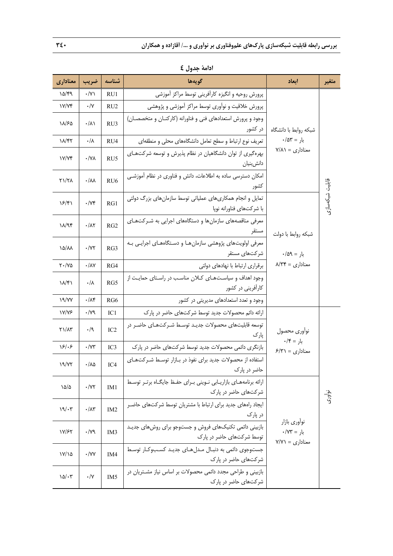| معناداري             | ضريب                    | شناسه           | گويەھا                                                                                    | ابعاد                                                             | متغير           |
|----------------------|-------------------------|-----------------|-------------------------------------------------------------------------------------------|-------------------------------------------------------------------|-----------------|
| 10/99                | $\cdot$ /Y)             | RU1             | پرورش روحیه و انگیزه کارآفرینی توسط مراکز آموزشی                                          |                                                                   |                 |
| V/Yf                 | $\cdot/\Upsilon$        | RU <sub>2</sub> | پرورش خلاقیت و نوآوری توسط مراکز آموزشی و پژوهشی                                          |                                                                   |                 |
| ۱۸/۶۵                | $\cdot/\lambda$         | RU3             | وجود و پرورش استعدادهای فنی و فناورانه (کارکنـان و متخصصـان)<br>در کشور                   | شبكه روابط با دانشگاه                                             |                 |
| 18/47                | $\cdot/\lambda$         | RU4             | تعریف نوع ارتباط و سطح تعامل دانشگاههای محلی و منطقهای                                    | $\cdot/\Delta \Upsilon =$ بار = ۰/۵۳                              |                 |
| V/Yf                 | $\cdot / Y \wedge$      | RU <sub>5</sub> | بهرهگیری از توان دانشگاهیان در نظام پذیرش و توسعه شرکتهای<br>دانش بنيان                   | $Y/\Lambda$ معناداری = ۷/۸۱                                       |                 |
| ۲۱/۲۸                | $\cdot/\lambda\lambda$  | RU <sub>6</sub> | امکان دسترسی ساده به اطلاعات، دانش و فناوری در نظام آموزشـی<br>كشور                       |                                                                   |                 |
| ۱۶/۴۱                | $\cdot/\gamma$          | RG1             | تمایل و انجام همکاریهای عملیاتی توسط سازمانهای بزرگ دولتی<br>با شركتهاى فناورانه نوپا     |                                                                   | قابليت شبكەسازى |
| $\lambda/\gamma$ ۴   | $\cdot/\lambda\Upsilon$ | RG2             | معرفی مناقصههای سازمانها و دستگاههای اجرایی به شـرکتهـای<br>مستقر                         | شبكه روابط با دولت                                                |                 |
| <b>10/11</b>         | $\cdot/\Upsilon$        | RG3             | معرفی اولویتهای پژوهشی سازمان هـا و دسـتگاههـای اجرایـی بـه<br>شر کتهای مستقر             | $\cdot/\Delta$ بار = ۹                                            |                 |
| $Y \cdot / Y \Delta$ | $\cdot/\lambda$ Y       | RG4             | برقراری ارتباط با نهادهای دولتی                                                           | $\Lambda/\Upsilon \Upsilon = \sum_{k=1}^{\infty}$ معناداری        |                 |
| $\lambda/\gamma$     | $\cdot/\lambda$         | RG5             | وجود اهداف و سیاستهـای کـلان مناسـب در راسـتای حمایـت از<br>کارآفرینی در کشور             |                                                                   |                 |
| 19/YY                | $\cdot/\lambda$ ۴       | RG6             | وجود و تعدد استعدادهای مدیریتی در کشور                                                    |                                                                   |                 |
| <b><i>IV/YS</i></b>  | $\cdot$ / $\gamma$ ۹    | IC1             | ارائه دائم محصولات جدید توسط شرکتهای حاضر در پارک                                         |                                                                   |                 |
| $Y\lambda/\lambda$ ۳ | $\cdot/9$               | IC <sub>2</sub> | توسعه قابلیتهای محصولات جدیـد توسـط شـرکتهـای حاضـر در<br>پارک                            | نوأورى محصول<br>$\cdot$ بار = ۰/۴                                 |                 |
| $\frac{5}{5}$        | $\cdot$ / $\vee\tau$    | IC3             | بازنگری دائمی محصولات جدید توسط شرکتهای حاضر در پارک                                      | $F/T$ معناداری = ۶/۳۱                                             |                 |
| 19/Y                 | $\cdot/\lambda\Delta$   | IC4             | استفاده از محصولات جدید برای نفوذ در بـازار توسـط شـرکتهـای<br>حاضر در پارک               |                                                                   |                 |
| ۱۵/۵                 | $\cdot$ /YY             | IM1             | ارائه برنامههـای بازاریـابی نـوینی بـرای حفـظ جایگـاه برتـر توسـط<br>شرکتهای حاضر در یارک |                                                                   | نوآوری          |
| 19/57                | $\cdot/\lambda$ ۳       | IM <sub>2</sub> | ایجاد رامهای جدید برای ارتباط با مشتریان توسط شرکتهای حاضـر<br>در پارک                    |                                                                   |                 |
| 17/۶۲                | $\cdot$ /79             | IM <sub>3</sub> | بازبینی دائمی تکنیکهای فروش و جستوجو برای روشهای جدیـد<br>توسط شرکتهای حاضر در پارک       | نوأوري بازار<br>$\cdot$ /۷۳ = $\sqrt{x}$<br>$Y/Y$ معناداری = ۷/۷۱ |                 |
| $Y/\lambda$          | $\cdot$ /YY             | IM4             | جستوجوی دائمی به دنبـال مـدلهـای جدیـد کسـبوکـار توسـط<br>شرکتهای حاضر در پارک            |                                                                   |                 |
| $10/\cdot 7$         | $\cdot/\Upsilon$        | IM <sub>5</sub> | بازبینی و طراحی مجدد دائمی محصولات بر اساس نیاز مشتریان در<br>شرکتهای حاضر در پارک        |                                                                   |                 |

**ادامة جدول 4**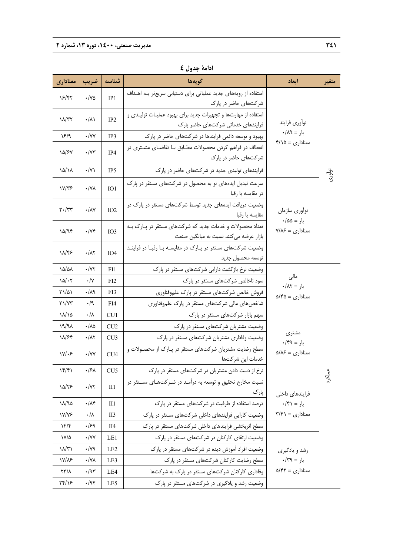| معناداري                                   | ضريب                             | شناسه            | گويەھا                                                                            | اىعاد                                          | متغير  |
|--------------------------------------------|----------------------------------|------------------|-----------------------------------------------------------------------------------|------------------------------------------------|--------|
| 18/45                                      | $\cdot$ /Ya                      | IP1              | استفاده از رویههای جدید عملیاتی برای دستیابی سریعتر بـه اهـداف                    |                                                |        |
|                                            |                                  |                  | شرکتهای حاضر در پارک                                                              |                                                |        |
| $\lambda/\tau$                             | $\cdot/\lambda$                  | IP <sub>2</sub>  | استقاده از مهارتها و تجهیزات جدید برای بهبود عملیـات تولیـدی و                    | نوأوري فرايند                                  |        |
| ۱۶/۹                                       | $\cdot$ /YY                      |                  | فرایندهای خدماتی شرکتهای حاضر پارک                                                | $\cdot/\Lambda$ بار = ۱۸۹                      |        |
|                                            |                                  | IP3              | بهبود و توسعه دائمی فرایندها در شرکتهای حاضر در یارک                              | $f/\lambda = 0$ معناداری                       |        |
| 10/۶۷                                      | $\cdot/\Upsilon$                 | IP4              | انعطاف در فراهم کردن محصولات مطـابق بـا تقاضـای مشـتری در<br>شرکتهای حاضر در پارک |                                                |        |
| ۱۵/۱۸                                      | $\cdot/\Upsilon$                 | IP <sub>5</sub>  | فرایندهای تولیدی جدید در شرکتهای حاضر در پارک                                     |                                                |        |
|                                            |                                  |                  | سرعت تبدیل ایدههای نو به محصول در شرکتهای مستقر در پارک                           |                                                | نوآوری |
| ۱۷/۳۶                                      | $\cdot$ /YA                      | IO1              | در مقايسه با رقبا                                                                 |                                                |        |
| $\mathsf{Y} \cdot / \mathsf{Y} \mathsf{Y}$ | $\cdot/\lambda\mathrm{V}$        | IO2              | وضعیت دریافت ایدههای جدید توسط شرکتهای مستقر در پارک در                           | نوأوري سازمان                                  |        |
|                                            |                                  |                  | مقايسه با رقبا                                                                    | $\cdot/\Delta\Delta = \int$ بار                |        |
| 10/97                                      | $\cdot/\gamma$                   | IO <sub>3</sub>  | تعداد محصولات و خدمات جدید که شرکتهای مستقر در پـارک بـه                          | $Y/\lambda \mathcal{F} = \mathcal{S}$ معناداری |        |
|                                            |                                  |                  | بازار عرضه می کنند نسبت به میانگین صنعت                                           |                                                |        |
| ۱۸/۴۶                                      | $\cdot/\lambda\Upsilon$          | IO4              | وضعیت شرکتهای مستقر در پـارک در مقایسـه بـا رقبـا در فراینـد                      |                                                |        |
|                                            |                                  |                  | توسعه محصول جديد                                                                  |                                                |        |
| ۱۵/۵۸                                      | $\cdot/\Upsilon$                 | FI1              | وضعیت نرخ بازگشت دارایی شرکتهای مستقر در پارک                                     | مالی                                           |        |
| $10/-7$                                    | $\cdot/\Upsilon$                 | FI2              | سود ناخالص شرکتهای مستقر در پارک                                                  | $\cdot/\Lambda$ بار = ۰/۸۲                     |        |
| ۲۱/۵۱                                      | $\cdot/\lambda$ ٩                | F <sub>1</sub> 3 | فروش خالص شرکتهای مستقر در پارک علموفناوری                                        | معناداری = ۵/۴۵                                |        |
| $Y\lambda/VY$                              | $\cdot/9$                        | FI4              | شاخصهای مالی شرکتهای مستقر در پارک علموفناوری                                     |                                                |        |
| ۱۸/۱۵                                      | $\cdot/\lambda$                  | CU1              | سهم بازار شرکتهای مستقر در پارک                                                   |                                                |        |
| 19/9                                       | $\cdot/\lambda\Delta$            | CU2              | وضعیت مشتریان شرکتهای مستقر در پارک                                               | مشترى                                          |        |
| 18/64                                      | $\cdot/\lambda\Upsilon$          | CU3              | وضعیت وفاداری مشتریان شرکتهای مستقر در پارک                                       | $\cdot$ بار = ۶۹/۰                             |        |
| $\frac{1}{\sqrt{2}}$                       | $\cdot$ /YY                      | CU <sub>4</sub>  | سطح رضایت مشتریان شرکتهای مستقر در پـارک از محصـولات و<br>خدمات این شرکتها        | معناداری = ۵/۸۶                                |        |
| $\frac{16}{5}$                             | ۰/۶۸                             | CU <sub>5</sub>  | نرخ از دست دادن مشتریان در شرکتهای مستقر در پارک                                  |                                                |        |
|                                            |                                  |                  | نسبت مخارج تحقیق و توسعه به درآمـد در شـرکتهـای مسـتقر در                         |                                                | ملكرد  |
| 10/۲۶                                      | $\cdot$ /<br>$\gamma\gamma$      | $II1$            | پارک                                                                              | فرايندهاى داخلى                                |        |
| ۱۸/۹۵                                      | $\cdot/\lambda$ ۴                | II1              | درصد استفاده از ظرفیت در شرکتهای مستقر در یارک                                    | $\cdot$ بار = ۱۴۱                              |        |
| <b><i>IV/VS</i></b>                        | $\cdot/\lambda$                  | II3              | وضعیت کارایی فرایندهای داخلی شرکتهای مستقر در پارک                                | $\Gamma/\mathfrak{F}$ / معناداری = ۳/۴۱        |        |
| $\gamma$ ۲/۴                               | .159                             | II4              | سطح اثربخشی فرایندهای داخلی شرکتهای مستقر در پارک                                 |                                                |        |
| ۱۷/۵                                       | $\cdot$ /YY                      | LE1              | وضعیت ارتقای کارکنان در شرکتهای مستقر در پارک                                     |                                                |        |
| $\lambda/\tau$                             | $\cdot/\gamma$ ٩                 | LE <sub>2</sub>  | وضعیت افراد آموزش دیده در شرکتهای مستقر در پارک                                   | رشد و يادگيري                                  |        |
| ۱۷/۸۶                                      | $\cdot/\gamma\lambda$            | LE3              | سطح رضایت کارکنان شرکتهای مستقر در پارک                                           | $\cdot$ بار = ۶۳۹.                             |        |
| $\frac{1}{\sqrt{2}}$                       | $\cdot/\mathfrak{A}\mathfrak{r}$ | LE4              | وفاداری کارکنان شرکتهای مستقر در پارک به شرکتها                                   | معناداری = ۵/۴۲                                |        |
| ۲۴/۱۶                                      | $\cdot$ /94                      | LE5              | وضعیت رشد و یادگیری در شرکتهای مستقر در پارک                                      |                                                |        |

**ادامة جدول 4**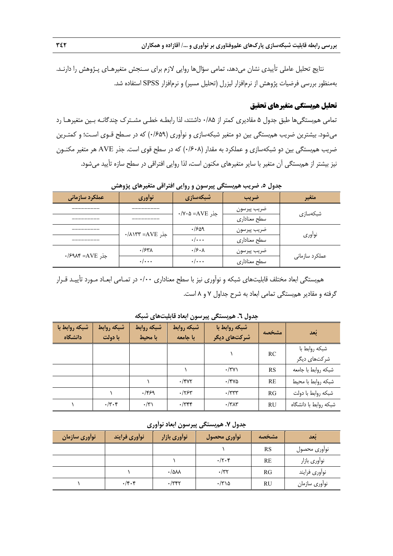نتايج تحليل عاملي تأييدي نشان ميدهد، تمامي سؤالها روايي لازم براي سـنجش متغيرهـاي پـژوهش را دارنـد. بهمنظور بررسي فرضيات پژوهش از نرمافزار ليزرل (تحليل مسير) و نرمافزار SPSS استفاده شد.

## **تحليل همبستگي متغيرهاي تحقيق**

تمامي همبستگيها طبق جدول 5 مقاديري كمتر از 0/85 داشتند، لذا رابطـه خطـي مشـترك چندگانـه بـين متغيرهـا رد ميشود. بيشترين ضريب همبستگي بين دو متغير شبكهسازي و نوآوري (0/659) كه در سـطح قـوي اسـت؛ و كمتـرين ضريب همبستگي بين دو شبكهسازي و عملكرد به مقدار (0/608) كه در سطح قوي است. جذر AVE هر متغير مكنـون نيز بيشتر از همبستگي آن متغير با ساير متغيرهاي مكنون است، لذا روايي افتراقي در سطح سازه تأييد ميشود.

| عملکرد سازمانی     | نوأوري         | شبكەسازى                | ضريب         | متغير          |  |  |  |  |  |
|--------------------|----------------|-------------------------|--------------|----------------|--|--|--|--|--|
|                    |                | جذر AVE=∆-۷۰\۰          | ضريب پيرسون  |                |  |  |  |  |  |
|                    |                |                         | سطح معناداري | شبکەسازى       |  |  |  |  |  |
|                    | جذر AVE=AVE=>  | ۶۵۹.                    | ضريب پيرسون  | نوأوري         |  |  |  |  |  |
|                    |                | $\cdot/\cdot\cdot\cdot$ | سطح معناداري |                |  |  |  |  |  |
| جذر AVE=AVE+/۶۹۸۴= | .754           | $\cdot$ /۶ $\cdot$ ۸    | ضريب پيرسون  |                |  |  |  |  |  |
|                    | $\cdot/\cdots$ | $\cdot/\cdots$          | سطح معناداري | عملکرد سازمانی |  |  |  |  |  |
|                    |                |                         |              |                |  |  |  |  |  |

**جدول .5 ضريب همبستگي پيرسون و روايي افتراقي متغيرهاي پژوهش** 

همبستگي ابعاد مختلف قابليتهاي شبكه و نوآوري نيز با سطح معناداري 0/00 در تمـامي ابعـاد مـورد تأييـد قـرار گرفته و مقادير همبستگي تمامي ابعاد به شرح جداول 7 و 8 است.

| شبكه روابط با<br>دانشگاه | شبكه روابط<br>با دولت | شبكه روابط<br>با محیط | شبكه روابط<br>با جامعه | شبكه روابط با<br>شرکتهای دیگر | مشخصه     | بُعد                           |  |  |  |  |  |
|--------------------------|-----------------------|-----------------------|------------------------|-------------------------------|-----------|--------------------------------|--|--|--|--|--|
|                          |                       |                       |                        |                               | <b>RC</b> | شبكه روابط با<br>شر کتهای دیگر |  |  |  |  |  |
|                          |                       |                       |                        | $\cdot$ /۳۷)                  | RS        | شبكه روابط با جامعه            |  |  |  |  |  |
|                          |                       |                       | $\cdot$ /۴۷۲           | $\cdot$ /۴۷۵                  | RE        | شبكه روابط با محيط             |  |  |  |  |  |
|                          |                       | .1959                 | .754                   | $\cdot$ /۳۳۳                  | RG        | شبكه روابط با دولت             |  |  |  |  |  |
|                          | $\cdot$ /۳ $\cdot$ ۴  | $\cdot$ /۳)           | $\cdot$ /٣۴۴           | $\cdot$ /٣٨٣                  | <b>RU</b> | شبكه روابط با دانشگاه          |  |  |  |  |  |

**جدول .6 همبستگي پيرسون ابعاد قابليتهاي شبكه**

| ا نوأوري سازمان | نوأوري فرايند | نوأوري بازار                       | نوأورى محصول        | مشخصه     | أنعد          |
|-----------------|---------------|------------------------------------|---------------------|-----------|---------------|
|                 |               |                                    |                     | RS        | نوأورى محصول  |
|                 |               |                                    | $\cdot/\tau\cdot$ ۴ | <b>RE</b> | نوأوري بازار  |
|                 |               | $\cdot$ / $\Delta \lambda \lambda$ | $\cdot$ /۳۲         | RG        | نوأوري فرايند |
|                 | $\cdot$ /۴۰۴  | $\cdot$ /٣۴٢                       | $\cdot$ /۳۱۵        | RU        | نوأوري سازمان |

**جدول .7 همبستگي پيرسون ابعاد نوآوري**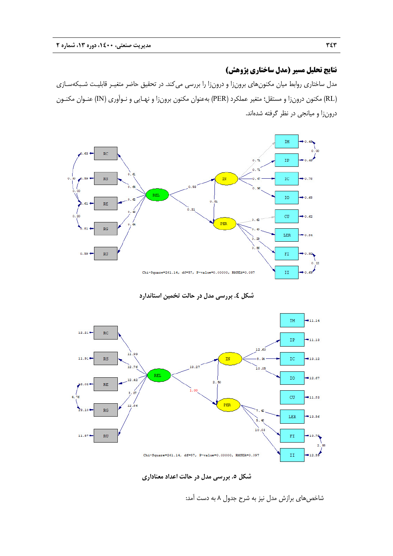# **نتايج تحليل مسير (مدل ساختاري پژوهش)**

مدل ساختاري روابط ميان مكنونهاي برونزا و درونزا را بررسي ميكند. در تحقيق حاضر متغيـر قابليـت شـبكهسـازي (RL (مكنون درونزا و مستقل؛ متغير عملكرد (PER (بهعنوان مكنون برونزا و نهـايي و نـوآوري (IN (عنـوان مكنـون درونزا و ميانجي در نظر گرفته شدهاند.



**شكل .4 بررسي مدل در حالت تخمين استاندارد** 



**شكل .5 بررسي مدل در حالت اعداد معناداري** 

شاخص هاي برازش مدل نيز به شرح جدول ۸ به دست آمد: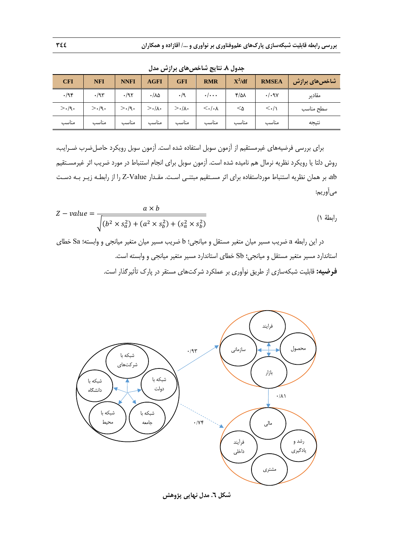| -----<br>--  |              |             |                       |                    |                                 |               |                         |                      |  |  |  |
|--------------|--------------|-------------|-----------------------|--------------------|---------------------------------|---------------|-------------------------|----------------------|--|--|--|
| <b>CFI</b>   | <b>NFI</b>   | <b>NNFI</b> | <b>AGFI</b>           | <b>GFI</b>         | <b>RMR</b>                      | $X^2/df$      | <b>RMSEA</b>            | ِ شَاخْصِ هَای برازش |  |  |  |
| $\cdot$ /95  | .79          | .197        | $\cdot/\lambda\Delta$ | $\cdot/9$          | $\cdot/\cdot\cdot$              | $\frac{1}{2}$ | $\cdot/\cdot$ 97        | مقادير               |  |  |  |
| $>\cdot$ /9. | $>\cdot$ /9. | $>$ ./9.    | $>\cdot/\lambda$ .    | $>\cdot/\lambda$ . | $\langle \cdot   \cdot \rangle$ | ∆>            | $\langle \cdot/\rangle$ | سطح مناسب            |  |  |  |
| مناسب        | مناسب        | مناسب       | مناسب                 | مناسب              | مناسب                           | مناسب         | مناسب                   | نتيجه                |  |  |  |

**جدول .8 نتايج شاخصهاي برازش مدل** 

براي بررسي فرضيههاي غيرمستقيم از آزمون سوبل استفاده شده است. آزمون سوبل رويكرد حاصلضرب ضـرايب، روش دلتا يا رويكرد نظريه نرمال هم ناميده شده است. آزمون سوبل براي انجام استنباط در مورد ضريب اثر غيرمسـتقيم ab، بر همان نظريه استنباط مورداستفاده براي اثر مسـتقيم مبتنـي اسـت. مقـدار Value-Z را از رابطـه زيـر بـه دسـت ميآوريم:

$$
Z-value = \frac{a \times b}{\sqrt{(b^2 \times s_a^2) + (a^2 \times s_b^2) + (s_a^2 \times s_b^2)}}
$$
 (1)

در اين رابطه a ضريب مسير ميان متغير مستقل و ميانجي؛ b ضريب مسير ميان متغير ميانجي و وابسته؛ Sa خطاي استاندارد مسير متغير مستقل و ميانجي؛ Sb خطاي استاندارد مسير متغير ميانجي و وابسته است. **فرضيه:** قابليت شبكهسازي از طريق نوآوري بر عملكرد شركتهاي مستقر در پارك تأثيرگذار است.



**شكل .6 مدل نهايي پژوهش**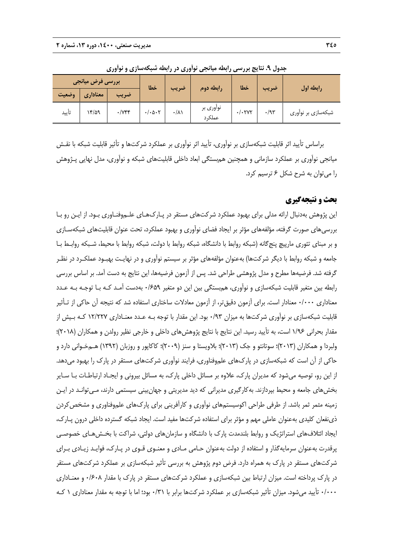| بررسی فرض میانجی |          | خطا                   |                              | رابطه دوم       | خطا                  |                   | رابطه اول   |                    |
|------------------|----------|-----------------------|------------------------------|-----------------|----------------------|-------------------|-------------|--------------------|
| وضعيت            | معناداري | ضريب                  |                              | ضريب            |                      |                   | ضريب        |                    |
| تأييد            | ۱۳/۵۹    | $\cdot$ / $\gamma$ ۴۴ | $\cdot/\cdot \Delta \cdot 7$ | $\cdot/\lambda$ | نواوری بر<br>عملکر د | $\cdot/\cdot$ YYY | $\cdot$ /95 | شبکهسازی بر نواوری |

**جدول .9 نتايج بررسي رابطه ميانجي نوآوري در رابطه شبكهسازي و نوآوري** 

براساس تأييد اثر قابليت شبكهسازي بر نوآوري، تأييد اثر نوآوري بر عملكرد شركتها و تأثير قابليت شبكه با نقـش ميانجي نوآوري بر عملكرد سازماني و همچنين همبستگي ابعاد داخلي قابليتهاي شبكه و نوآوري، مدل نهايي پـژوهش را ميتوان به شرح شكل 6 ترسيم كرد.

## **بحث و نتيجهگيري**

اين پژوهش بهدنبال ارائه مدلي براي بهبود عملكرد شركتهاي مستقر در پـاركهـاي علـموفنـاوري بـود. از ايـن رو بـا بررسيهاي صورت گرفته، مؤلفههاي مؤثر بر ايجاد فضاي نوآوري و بهبود عملكرد، تحت عنوان قابليتهاي شبكهسـازي و بر مبناي تئوري مارپيچ پنجگانه (شبكه روابط با دانشگاه، شبكه روابط با دولت، شبكه روابط با محيط، شـبكه روابـط بـا جامعه و شبكه روابط با ديگر شركتها) بهعنوان مؤلفههاي مؤثر بر سيستم نوآوري و در نهايـت بهبـود عملكـرد در نظـر گرفته شد. فرضيهها مطرح و مدل پژوهشي طراحي شد. پس از آزمون فرضيهها، اين نتايج به دست آمد. بر اساس بررسي رابطه بين متغير قابليت شبكهسازي و نوآوري، همبستگي بين اين دو متغير 0/659 بهدست آمـد كـه بـا توجـه بـه عـدد معناداري ٠/٠٠٠ معنادار است. براي آزمون دقيقتر، از آزمون معادلات ساختاري استفاده شد كه نتيجه آن حاكي از تـأثير قابليت شبكهسازي بر نوآوري شركتها به ميزان 0/93 بود. اين مقدار با توجه بـه عـدد معنـاداري 12/227 كـه بـيش از مقدار بحراني 1/96 است، به تأييد رسيد. اين نتايج با نتايج پژوهشهاي داخلي و خارجي نظير رولدن و همكاران (2018)؛ ولبردا و همكاران (2013)؛ سوتانتو و جك (2013)؛ بلاويستا و سنز (2009)؛ كاكاپور و روزبان (1392) هـمخـواني دارد و حاكي از آن است كه شبكهسازي در پارك&اي علموفناوري، فرايند نوآوري شركتهاي مستقر در پارک را بهبود مي دهد. از اين رو، توصيه ميشود كه مديران پارك، علاوه بر مسائل داخلي پارك، به مسائل بيروني و ايجـاد ارتباطـات بـا سـاير بخشهاي جامعه و محيط بپردازند. بهكارگيري مديراني كه ديد مديريتي و جهانبيني سيستمي دارند، مـيتوانـد در ايـن زمينه مثمر ثمر باشد. از طرفي طراحي اكوسيستمهاي نوآوري و كارآفريني براي پاركهاي علموفناوري و مشخصكردن ذينفعان كليدي بهعنوان عاملي مهم و مؤثر براي استفاده شركتها مفيد است. ايجاد شبكه گسترده داخلي درون پـارك، ايجاد ائتلافهاي استراتژيك و روابط بلندمدت پارك با دانشگاه و سازمانهاي دولتي، شراكت با بخـشهـاي خصوصـي پرقدرت بهعنوان سرمايهگذار و استفاده از دولت بهعنوان حـامي مـادي و معنـوي قـوي در پـارك، فوايـد زيـادي بـراي شركتهاي مستقر در پارك به همراه دارد. فرض دوم پژوهش به بررسي تأثير شبكهسازي بر عملكرد شركتهاي مستقر در پارك پرداخته است. ميزان ارتباط بين شبكهسازي و عملكرد شركتهاي مستقر در پارك با مقدار 0/608 و معنـاداري 0/000 تأييد ميشود. ميزان تأثير شبكهسازي بر عملكرد شركتها برابر با 0/31 بود؛ اما با توجه به مقدار معناداري 1 كـه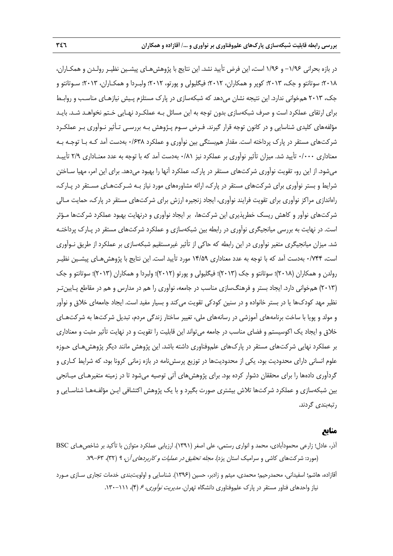در بازه بحراني -1/96 و 1/96 است، اين فرض تأييد نشد. اين نتايج با پژوهشهـاي پيشـين نظيـر رولـدن و همكـاران، 2018؛ سوتانتو و جك، 2013؛ كوپر و همكاران، 2012؛ فيگليولي و پورتو، 2012؛ ولبـردا و همكـاران، 2013؛ سـوتانتو و جك، 2013 همخواني ندارد. اين نتيجه نشان ميدهد كه شبكهسازي در پارك مستلزم پـيش نيازهـاي مناسـب و روابـط براي ارتقاي عملكرد است و صرف شبكهسازي بدون توجه به اين مسائل بـه عملكـرد نهـايي خـتم نخواهـد شـد. بايـد مؤلفههاي كليدي شناسايي و در كانون توجه قرار گيرند. فـرض سـوم پـژوهش بـه بررسـي تـأثير نـوآوري بـر عملكـرد شركتهاي مستقر در پارك پرداخته است. مقدار همبستگي بين نوآوري و عملكرد 0/638 بهدست آمد كـه بـا توجـه بـه معناداري 0/000 تأييد شد. ميزان تأثير نوآوري بر عملكرد نيز 0/81 بهدست آمد كه با توجه به عدد معنـاداري 2/9 تأييـد ميشود. از اين رو، تقويت نوآوري شركتهاي مستقر در پارك، عملكرد آنها را بهبود ميدهد. براي اين امر، مهيا سـاختن شرايط و بستر نوآوري براي شركتهاي مستقر در پارك، ارائه مشاورههاي مورد نياز بـه شـركتهـاي مسـتقر در پـارك، راهاندازي مراكز نوآوري براي تقويت فرايند نوآوري، ايجاد زنجيره ارزش براي شركتهاي مستقر در پارك، حمايت مـالي شركتهاي نوآور و كاهش ريسك خطرپذيري اين شركتها، بر ايجاد نوآوري و درنهايت بهبود عملكرد شركتها مـؤثر است. در نهايت به بررسي ميانجيگري نوآوري در رابطه بين شبكهسازي و عملكرد شركتهاي مستقر در پـارك پرداختـه شد. ميزان ميانجيگري متغير نوآوري در اين رابطه كه حاكي از تأثير غيرمستقيم شبكهسازي بر عملكرد از طريق نـوآوري است، 0/744 بهدست آمد كه با توجه به عدد معناداري 14/59 مورد تأييد است. اين نتايج با پژوهشهـاي پيشـين نظيـر رولدن و همكاران (2018)؛ سوتانتو و جك (2013)؛ فيگليولي و پورتو (2012)؛ ولبردا و همكاران (2013)؛ سوتانتو و جك (2013) همخواني دارد. ايجاد بستر و فرهنگسازي مناسب در جامعه، نوآوري را هم در مدارس و هم در مقاطع پـايينتـر نظير مهد كودكها يا در بستر خانواده و در سنين كودكي تقويت ميكند و بسيار مفيد است. ايجاد جامعهاي خلاق و نوآور و مولد و پويا با ساخت برنامههاي آموزشي در رسانههاي ملي، تغيير ساختار زندگي مردم، تبديل شركتها به شركتهـاي خلاق و ايجاد يك اكوسيستم و فضاي مناسب در جامعه ميتواند اين قابليت را تقويت و در نهايت تأثير مثبت و معناداري بر عملكرد نهايي شركتهاي مستقر در پاركهاي علموفناوري داشته باشد. اين پژوهش مانند ديگر پژوهشهـاي حـوزه علوم انساني داراي محدوديت بود، يكي از محدوديتها در توزيع پرسشنامه در بازه زماني كرونا بود، كه شرايط كـاري و گردآوري دادهها را براي محققان دشوار كرده بود. براي پژوهش هاي آتي توصيه مي شود تا در زمينه متغيرهـاي ميـانجي بين شبكهسازي و عملكرد شركتها تلاش بيشتري صورت بگيرد و با يك پژوهش اكتشافي ايـن مؤلفـههـا شناسـايي و رتبهبندي گردند.

### **منابع**

- آذر، عادل؛ زارعي محمودآبادي، محمد و انواري رستمي، علي اصغر (1391). ارزيابي عملكرد متوازن با تأكيد بر شاخصهـاي BSC (مورد: شركتهاي كاشي و سراميك استان يزد). *مجله تحقيق در عمليات و كاربردهاي آن، ۹* (۳۲)، ۶۳–۷۹.
- آقازاده، هاشم؛ اسفيداني، محمدرحيم؛ محمدي، ميثم و زادبر، حسين (1396). شناسايي و اولويتبندي خدمات تجاري سـازي مـورد نياز واحدهاي فناور مستقر در پارک علموفناوري دانشگاه تهران. *مديريت نوآوري، ۶ (۴)، ۱۱*۱-۱۳۰.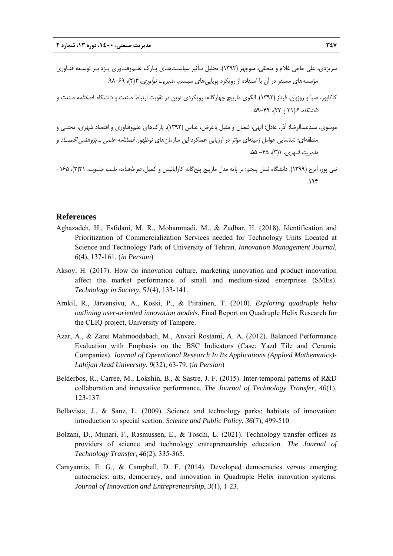- سريزدي، علي حاجي غلام و منطقي، منوچهر (1392). تحليل تـأثير سياسـتهـاي پـارك علـموفنـاوري يـزد بـر توسـعه فنـاوري مؤسسههاي مستقر در آن با استفاده از رويكرد پوياييهاي سيستم. *مديريت نوآوري، ٢*(٢)، 54-٩٨.
- كاكاپور، صبا و روزبان، فرناز (1392). الگوي مارپيچ چهارگانه: رويكردي نوين در تقويت ارتباط صنعت و دانشگاه. فصلنامه صنعت <sup>و</sup> دانشگاه، <sup>6</sup>(21 و 22)، .59-49
- موسوي، سيدعبدالرضا؛ آذر، عادل؛ الهي، شعبان و مقبل باعرض، عباس (1392). پاركهاي علموفناوري و اقتصاد شهري، محلـي و منطقهاي؛ شناسايي عوامل زمينهاي مؤثر در ارزيابي عملكرد اين سازمانهاي نوظهور. *فصلنامه علمي ـ پژوهشي اقتصـاد و*  $\Delta \Delta - 6$ . (۳)، -46.
- نبي پور، ايرج (1399). دانشگاه نسل پنجم: بر پايه مدل مارپيچ پنجگانه كارايانيس و كمبل. دو ماهنامه طـب جنـوب، 21(2)، -165  $.195$

#### **References**

- Aghazadeh, H., Esfidani, M. R., Mohammadi, M., & Zadbar, H. (2018). Identification and Prioritization of Commercialization Services needed for Technology Units Located at Science and Technology Park of University of Tehran. *Innovation Management Journal*, *6*(4), 137-161. (*in Persian*)
- Aksoy, H. (2017). How do innovation culture, marketing innovation and product innovation affect the market performance of small and medium-sized enterprises (SMEs). *Technology in Society*, *51*(4), 133-141.
- Arnkil, R., Järvensivu, A., Koski, P., & Piirainen, T. (2010). *Exploring quadruple helix outlining user-oriented innovation models*. Final Report on Quadruple Helix Research for the CLIQ project, University of Tampere.
- Azar, A., & Zarei Mahmoodabadi, M., Anvari Rostami, A. A. (2012). Balanced Performance Evaluation with Emphasis on the BSC Indicators (Case: Yazd Tile and Ceramic Companies). *Journal of Operational Research In Its Applications (Applied Mathematics)- Lahijan Azad University*, *9*(32), 63-79. (*in Persian*)
- Belderbos, R., Carree, M., Lokshin, B., & Sastre, J. F. (2015). Inter-temporal patterns of R&D collaboration and innovative performance. *The Journal of Technology Transfer*, *40*(1), 123-137.
- Bellavista, J., & Sanz, L. (2009). Science and technology parks: habitats of innovation: introduction to special section. *Science and Public Policy*, *36*(7), 499-510.
- Bolzani, D., Munari, F., Rasmussen, E., & Toschi, L. (2021). Technology transfer offices as providers of science and technology entrepreneurship education. *The Journal of Technology Transfer*, *46*(2), 335-365.
- Carayannis, E. G., & Campbell, D. F. (2014). Developed democracies versus emerging autocracies: arts, democracy, and innovation in Quadruple Helix innovation systems. *Journal of Innovation and Entrepreneurship*, *3*(1), 1-23.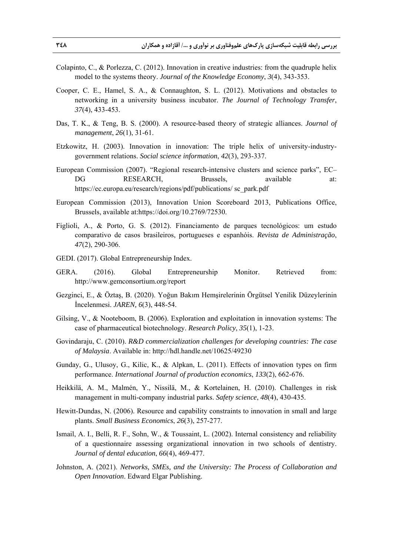- Colapinto, C., & Porlezza, C. (2012). Innovation in creative industries: from the quadruple helix model to the systems theory. *Journal of the Knowledge Economy*, *3*(4), 343-353.
- Cooper, C. E., Hamel, S. A., & Connaughton, S. L. (2012). Motivations and obstacles to networking in a university business incubator. *The Journal of Technology Transfer*, *37*(4), 433-453.
- Das, T. K., & Teng, B. S. (2000). A resource-based theory of strategic alliances. *Journal of management*, *26*(1), 31-61.
- Etzkowitz, H. (2003). Innovation in innovation: The triple helix of university-industrygovernment relations. *Social science information*, *42*(3), 293-337.
- European Commission (2007). "Regional research-intensive clusters and science parks", EC– DG RESEARCH, Brussels, available at: https://ec.europa.eu/research/regions/pdf/publications/ sc\_park.pdf
- European Commission (2013), Innovation Union Scoreboard 2013, Publications Office, Brussels, available at:https://doi.org/10.2769/72530.
- Figlioli, A., & Porto, G. S. (2012). Financiamento de parques tecnológicos: um estudo comparativo de casos brasileiros, portugueses e espanhóis. *Revista de Administração*, *47*(2), 290-306.
- GEDI. (2017). Global Entrepreneurship Index.
- GERA. (2016). Global Entrepreneurship Monitor. Retrieved from: http://www.gemconsortium.org/report
- Gezginci, E., & Öztaş, B. (2020). Yoğun Bakım Hemşirelerinin Örgütsel Yenilik Düzeylerinin İncelenmesi. *JAREN, 6*(3), 448-54.
- Gilsing, V., & Nooteboom, B. (2006). Exploration and exploitation in innovation systems: The case of pharmaceutical biotechnology. *Research Policy*, *35*(1), 1-23.
- Govindaraju, C. (2010). *R&D commercialization challenges for developing countries: The case of Malaysia*. Available in: http://hdl.handle.net/10625/49230
- Gunday, G., Ulusoy, G., Kilic, K., & Alpkan, L. (2011). Effects of innovation types on firm performance. *International Journal of production economics*, *133*(2), 662-676.
- Heikkilä, A. M., Malmén, Y., Nissilä, M., & Kortelainen, H. (2010). Challenges in risk management in multi-company industrial parks. *Safety science*, *48*(4), 430-435.
- Hewitt-Dundas, N. (2006). Resource and capability constraints to innovation in small and large plants. *Small Business Economics*, *26*(3), 257-277.
- Ismail, A. I., Belli, R. F., Sohn, W., & Toussaint, L. (2002). Internal consistency and reliability of a questionnaire assessing organizational innovation in two schools of dentistry. *Journal of dental education*, *66*(4), 469-477.
- Johnston, A. (2021). *Networks, SMEs, and the University: The Process of Collaboration and Open Innovation*. Edward Elgar Publishing.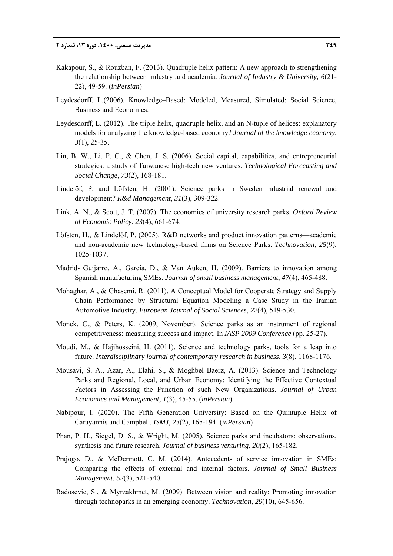- Kakapour, S., & Rouzban, F. (2013). Quadruple helix pattern: A new approach to strengthening the relationship between industry and academia. *Journal of Industry & University, 6*(21- 22), 49-59. (*inPersian*)
- Leydesdorff, L.(2006). Knowledge–Based: Modeled, Measured, Simulated; Social Science, Business and Economics.
- Leydesdorff, L. (2012). The triple helix, quadruple helix, and an N-tuple of helices: explanatory models for analyzing the knowledge-based economy? *Journal of the knowledge economy*, *3*(1), 25-35.
- Lin, B. W., Li, P. C., & Chen, J. S. (2006). Social capital, capabilities, and entrepreneurial strategies: a study of Taiwanese high-tech new ventures. *Technological Forecasting and Social Change*, *73*(2), 168-181.
- Lindelöf, P. and Löfsten, H. (2001). Science parks in Sweden–industrial renewal and development? *R&d Management*, *31*(3), 309-322.
- Link, A. N., & Scott, J. T. (2007). The economics of university research parks. *Oxford Review of Economic Policy*, *23*(4), 661-674.
- Löfsten, H., & Lindelöf, P. (2005). R&D networks and product innovation patterns—academic and non-academic new technology-based firms on Science Parks. *Technovation*, *25*(9), 1025-1037.
- Madrid‐ Guijarro, A., Garcia, D., & Van Auken, H. (2009). Barriers to innovation among Spanish manufacturing SMEs. *Journal of small business management*, *47*(4), 465-488.
- Mohaghar, A., & Ghasemi, R. (2011). A Conceptual Model for Cooperate Strategy and Supply Chain Performance by Structural Equation Modeling a Case Study in the Iranian Automotive Industry. *European Journal of Social Sciences*, *22*(4), 519-530.
- Monck, C., & Peters, K. (2009, November). Science parks as an instrument of regional competitiveness: measuring success and impact. In *IASP 2009 Conference* (pp. 25-27).
- Moudi, M., & Hajihosseini, H. (2011). Science and technology parks, tools for a leap into future. *Interdisciplinary journal of contemporary research in business*, *3*(8), 1168-1176.
- Mousavi, S. A., Azar, A., Elahi, S., & Moghbel Baerz, A. (2013). Science and Technology Parks and Regional, Local, and Urban Economy: Identifying the Effective Contextual Factors in Assessing the Function of such New Organizations. *Journal of Urban Economics and Management*, *1*(3), 45-55. (*inPersian*)
- Nabipour, I. (2020). The Fifth Generation University: Based on the Quintuple Helix of Carayannis and Campbell. *ISMJ*, *23*(2), 165-194. (*inPersian*)
- Phan, P. H., Siegel, D. S., & Wright, M. (2005). Science parks and incubators: observations, synthesis and future research. *Journal of business venturing*, *20*(2), 165-182.
- Prajogo, D., & McDermott, C. M. (2014). Antecedents of service innovation in SMEs: Comparing the effects of external and internal factors. *Journal of Small Business Management*, *52*(3), 521-540.
- Radosevic, S., & Myrzakhmet, M. (2009). Between vision and reality: Promoting innovation through technoparks in an emerging economy. *Technovation*, *29*(10), 645-656.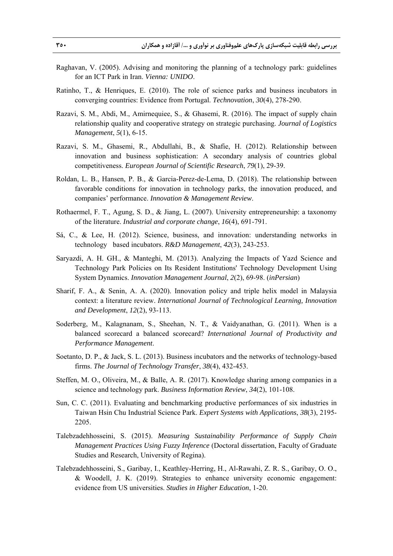- Raghavan, V. (2005). Advising and monitoring the planning of a technology park: guidelines for an ICT Park in Iran. *Vienna: UNIDO*.
- Ratinho, T., & Henriques, E. (2010). The role of science parks and business incubators in converging countries: Evidence from Portugal. *Technovation*, *30*(4), 278-290.
- Razavi, S. M., Abdi, M., Amirnequiee, S., & Ghasemi, R. (2016). The impact of supply chain relationship quality and cooperative strategy on strategic purchasing. *Journal of Logistics Management*, *5*(1), 6-15.
- Razavi, S. M., Ghasemi, R., Abdullahi, B., & Shafie, H. (2012). Relationship between innovation and business sophistication: A secondary analysis of countries global competitiveness. *European Journal of Scientific Research*, *79*(1), 29-39.
- Roldan, L. B., Hansen, P. B., & Garcia-Perez-de-Lema, D. (2018). The relationship between favorable conditions for innovation in technology parks, the innovation produced, and companies' performance. *Innovation & Management Review*.
- Rothaermel, F. T., Agung, S. D., & Jiang, L. (2007). University entrepreneurship: a taxonomy of the literature. *Industrial and corporate change*, *16*(4), 691-791.
- Sá, C., & Lee, H. (2012). Science, business, and innovation: understanding networks in technology based incubators. *R&D Management*, 42(3), 243-253.
- Saryazdi, A. H. GH., & Manteghi, M. (2013). Analyzing the Impacts of Yazd Science and Technology Park Policies on Its Resident Institutions' Technology Development Using System Dynamics. *Innovation Management Journal*, *2*(2), 69-98. (*inPersian*)
- Sharif, F. A., & Senin, A. A. (2020). Innovation policy and triple helix model in Malaysia context: a literature review. *International Journal of Technological Learning, Innovation and Development*, *12*(2), 93-113.
- Soderberg, M., Kalagnanam, S., Sheehan, N. T., & Vaidyanathan, G. (2011). When is a balanced scorecard a balanced scorecard? *International Journal of Productivity and Performance Management*.
- Soetanto, D. P., & Jack, S. L. (2013). Business incubators and the networks of technology-based firms. *The Journal of Technology Transfer*, *38*(4), 432-453.
- Steffen, M. O., Oliveira, M., & Balle, A. R. (2017). Knowledge sharing among companies in a science and technology park. *Business Information Review*, *34*(2), 101-108.
- Sun, C. C. (2011). Evaluating and benchmarking productive performances of six industries in Taiwan Hsin Chu Industrial Science Park. *Expert Systems with Applications*, *38*(3), 2195- 2205.
- Talebzadehhosseini, S. (2015). *Measuring Sustainability Performance of Supply Chain Management Practices Using Fuzzy Inference* (Doctoral dissertation, Faculty of Graduate Studies and Research, University of Regina).
- Talebzadehhosseini, S., Garibay, I., Keathley-Herring, H., Al-Rawahi, Z. R. S., Garibay, O. O., & Woodell, J. K. (2019). Strategies to enhance university economic engagement: evidence from US universities. *Studies in Higher Education*, 1-20.